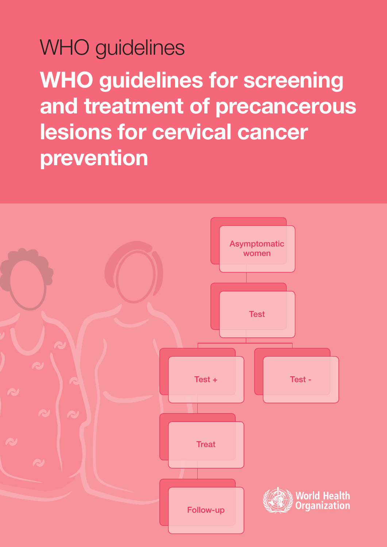WHO guidelines **WHO guidelines for screening and treatment of precancerous lesions for cervical cancer prevention**

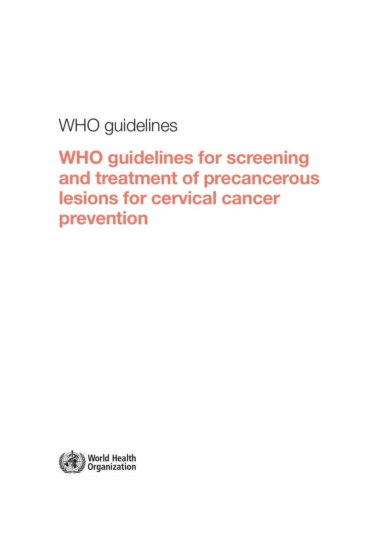WHO guidelines

WHO guidelines for screening and treatment of precancerous lesions for cervical cancer prevention

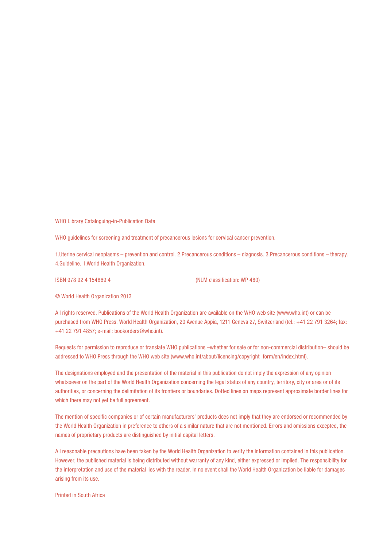WHO Library Cataloguing-in-Publication Data

WHO guidelines for screening and treatment of precancerous lesions for cervical cancer prevention.

1.Uterine cervical neoplasms – prevention and control. 2.Precancerous conditions – diagnosis. 3.Precancerous conditions – therapy. 4.Guideline. I.World Health Organization.

ISBN 978 92 4 154869 4 (NLM classification: WP 480)

© World Health Organization 2013

All rights reserved. Publications of the World Health Organization are available on the WHO web site (www.who.int) or can be purchased from WHO Press, World Health Organization, 20 Avenue Appia, 1211 Geneva 27, Switzerland (tel.: +41 22 791 3264; fax: +41 22 791 4857; e-mail: bookorders@who.int).

Requests for permission to reproduce or translate WHO publications –whether for sale or for non-commercial distribution– should be addressed to WHO Press through the WHO web site (www.who.int/about/licensing/copyright\_form/en/index.html).

The designations employed and the presentation of the material in this publication do not imply the expression of any opinion whatsoever on the part of the World Health Organization concerning the legal status of any country, territory, city or area or of its authorities, or concerning the delimitation of its frontiers or boundaries. Dotted lines on maps represent approximate border lines for which there may not yet be full agreement.

The mention of specific companies or of certain manufacturers' products does not imply that they are endorsed or recommended by the World Health Organization in preference to others of a similar nature that are not mentioned. Errors and omissions excepted, the names of proprietary products are distinguished by initial capital letters.

All reasonable precautions have been taken by the World Health Organization to verify the information contained in this publication. However, the published material is being distributed without warranty of any kind, either expressed or implied. The responsibility for the interpretation and use of the material lies with the reader. In no event shall the World Health Organization be liable for damages arising from its use.

Printed in South Africa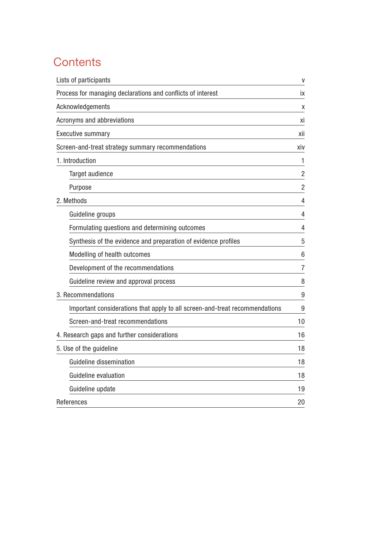# **Contents**

| Lists of participants                                                       | V               |
|-----------------------------------------------------------------------------|-----------------|
| Process for managing declarations and conflicts of interest                 | İХ              |
| Acknowledgements                                                            | Χ               |
| Acronyms and abbreviations                                                  | хi              |
| <b>Executive summary</b>                                                    | xii             |
| Screen-and-treat strategy summary recommendations                           | xiv             |
| 1. Introduction                                                             | 1               |
| Target audience                                                             | $\overline{2}$  |
| Purpose                                                                     | $\overline{2}$  |
| 2. Methods                                                                  | 4               |
| Guideline groups                                                            | 4               |
| Formulating questions and determining outcomes                              | 4               |
| Synthesis of the evidence and preparation of evidence profiles              | 5               |
| Modelling of health outcomes                                                | $6\phantom{1}6$ |
| Development of the recommendations                                          | $\overline{7}$  |
| Guideline review and approval process                                       | 8               |
| 3. Recommendations                                                          | 9               |
| Important considerations that apply to all screen-and-treat recommendations | 9               |
| Screen-and-treat recommendations                                            | 10              |
| 4. Research gaps and further considerations                                 | 16              |
| 5. Use of the guideline                                                     | 18              |
| <b>Guideline dissemination</b>                                              | 18              |
| Guideline evaluation                                                        | 18              |
| Guideline update                                                            | 19              |
| References                                                                  | 20              |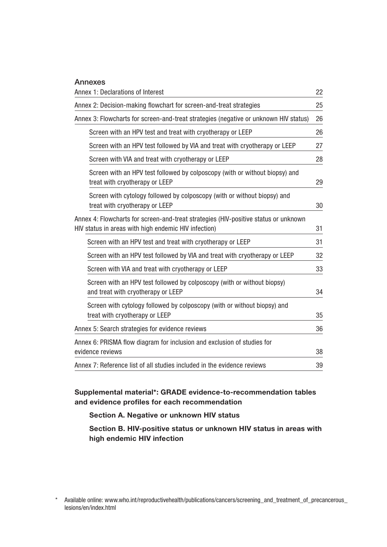| <b>Annexes</b>                                                                                                                              |    |
|---------------------------------------------------------------------------------------------------------------------------------------------|----|
| Annex 1: Declarations of Interest                                                                                                           | 22 |
| Annex 2: Decision-making flowchart for screen-and-treat strategies                                                                          | 25 |
| Annex 3: Flowcharts for screen-and-treat strategies (negative or unknown HIV status)                                                        | 26 |
| Screen with an HPV test and treat with cryotherapy or LEEP                                                                                  | 26 |
| Screen with an HPV test followed by VIA and treat with cryotherapy or LEEP                                                                  | 27 |
| Screen with VIA and treat with cryotherapy or LEEP                                                                                          | 28 |
| Screen with an HPV test followed by colposcopy (with or without biopsy) and<br>treat with cryotherapy or LEEP                               | 29 |
| Screen with cytology followed by colposcopy (with or without biopsy) and<br>treat with cryotherapy or LEEP                                  | 30 |
| Annex 4: Flowcharts for screen-and-treat strategies (HIV-positive status or unknown<br>HIV status in areas with high endemic HIV infection) | 31 |
| Screen with an HPV test and treat with cryotherapy or LEEP                                                                                  | 31 |
| Screen with an HPV test followed by VIA and treat with cryotherapy or LEEP                                                                  | 32 |
| Screen with VIA and treat with cryotherapy or LEEP                                                                                          | 33 |
| Screen with an HPV test followed by colposcopy (with or without biopsy)<br>and treat with cryotherapy or LEEP                               | 34 |
| Screen with cytology followed by colposcopy (with or without biopsy) and<br>treat with cryotherapy or LEEP                                  | 35 |
| Annex 5: Search strategies for evidence reviews                                                                                             | 36 |
| Annex 6: PRISMA flow diagram for inclusion and exclusion of studies for<br>evidence reviews                                                 | 38 |
| Annex 7: Reference list of all studies included in the evidence reviews                                                                     | 39 |

## Supplemental material\*: GRADE evidence-to-recommendation tables and evidence profiles for each recommendation

### Section A. Negative or unknown HIV status

Section B. HIV-positive status or unknown HIV status in areas with high endemic HIV infection

<sup>\*</sup> Available online: www.who.int/reproductivehealth/publications/cancers/screening\_and\_treatment\_of\_precancerous\_ lesions/en/index.html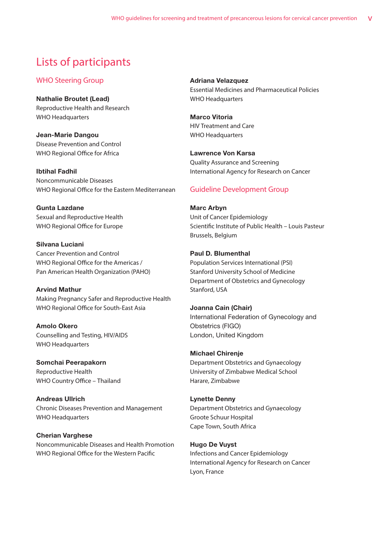## Lists of participants

### WHO Steering Group

Nathalie Broutet (Lead) Reproductive Health and Research WHO Headquarters

Jean-Marie Dangou Disease Prevention and Control WHO Regional Office for Africa

Ibtihal Fadhil Noncommunicable Diseases WHO Regional Office for the Eastern Mediterranean

Gunta Lazdane Sexual and Reproductive Health WHO Regional Office for Europe

Silvana Luciani Cancer Prevention and Control WHO Regional Office for the Americas / Pan American Health Organization (PAHO)

Arvind Mathur Making Pregnancy Safer and Reproductive Health WHO Regional Office for South-East Asia

Amolo Okero Counselling and Testing, HIV/AIDS WHO Headquarters

Somchai Peerapakorn Reproductive Health WHO Country Office – Thailand

Andreas Ullrich Chronic Diseases Prevention and Management WHO Headquarters

### Cherian Varghese

Noncommunicable Diseases and Health Promotion WHO Regional Office for the Western Pacific

Adriana Velazquez Essential Medicines and Pharmaceutical Policies WHO Headquarters

Marco Vitoria HIV Treatment and Care WHO Headquarters

Lawrence Von Karsa Quality Assurance and Screening International Agency for Research on Cancer

### Guideline Development Group

Marc Arbyn Unit of Cancer Epidemiology Scientific Institute of Public Health – Louis Pasteur Brussels, Belgium

Paul D. Blumenthal Population Services International (PSI) Stanford University School of Medicine Department of Obstetrics and Gynecology Stanford, USA

Joanna Cain (Chair) International Federation of Gynecology and Obstetrics (FIGO) London, United Kingdom

Michael Chirenje Department Obstetrics and Gynaecology University of Zimbabwe Medical School Harare, Zimbabwe

Lynette Denny Department Obstetrics and Gynaecology Groote Schuur Hospital Cape Town, South Africa

Hugo De Vuyst Infections and Cancer Epidemiology International Agency for Research on Cancer Lyon, France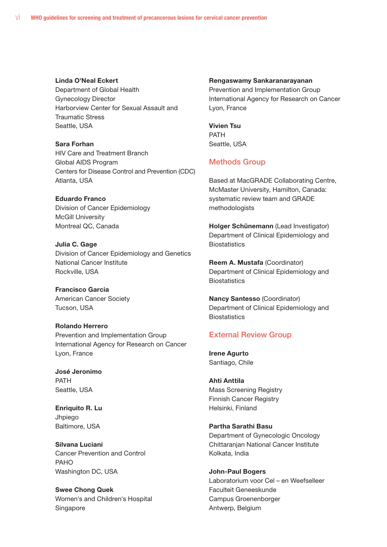#### Linda O'Neal Eckert

Department of Global Health Gynecology Director Harborview Center for Sexual Assault and Traumatic Stress Seattle, USA

Sara Forhan HIV Care and Treatment Branch Global AIDS Program Centers for Disease Control and Prevention (CDC) Atlanta, USA

Eduardo Franco Division of Cancer Epidemiology McGill University Montreal QC, Canada

**Julia C. Gage** Division of Cancer Epidemiology and Genetics National Cancer Institute Rockville, USA

Francisco Garcia American Cancer Society Tucson, USA

#### Rolando Herrero

Prevention and Implementation Group International Agency for Research on Cancer Lyon, France

José Jeronimo PATH Seattle, USA

Enriquito R. Lu Jhpiego Baltimore, USA

Silvana Luciani Cancer Prevention and Control PAHO Washington DC, USA

Swee Chong Quek Women's and Children's Hospital Singapore

#### Rengaswamy Sankaranarayanan

Prevention and Implementation Group International Agency for Research on Cancer Lyon, France

Vivien Tsu PATH Seattle, USA

#### Methods Group

Based at MacGRADE Collaborating Centre, McMaster University, Hamilton, Canada: systematic review team and GRADE methodologists

Holger Schünemann (Lead Investigator) Department of Clinical Epidemiology and **Biostatistics** 

Reem A. Mustafa (Coordinator) Department of Clinical Epidemiology and **Biostatistics** 

Nancy Santesso (Coordinator) Department of Clinical Epidemiology and **Biostatistics** 

### External Review Group

Irene Agurto Santiago, Chile

Ahti Anttila Mass Screening Registry Finnish Cancer Registry Helsinki, Finland

Partha Sarathi Basu Department of Gynecologic Oncology Chittaranjan National Cancer Institute Kolkata, India

John-Paul Bogers Laboratorium voor Cel – en Weefselleer Faculteit Geneeskunde Campus Groenenborger Antwerp, Belgium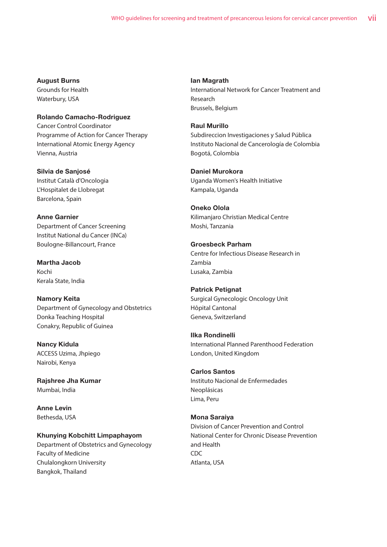#### August Burns

Grounds for Health Waterbury, USA

Rolando Camacho-Rodriguez Cancer Control Coordinator Programme of Action for Cancer Therapy International Atomic Energy Agency Vienna, Austria

Silvia de Sanjosé Institut Català d'Oncologia L'Hospitalet de Llobregat Barcelona, Spain

Anne Garnier Department of Cancer Screening Institut National du Cancer (INCa) Boulogne-Billancourt, France

Martha Jacob Kochi Kerala State, India

Namory Keita Department of Gynecology and Obstetrics Donka Teaching Hospital Conakry, Republic of Guinea

Nancy Kidula ACCESS Uzima, Jhpiego Nairobi, Kenya

Rajshree Jha Kumar Mumbai, India

Anne Levin Bethesda, USA

Khunying Kobchitt Limpaphayom Department of Obstetrics and Gynecology Faculty of Medicine Chulalongkorn University Bangkok, Thailand

Ian Magrath International Network for Cancer Treatment and Research Brussels, Belgium

### Raul Murillo

Subdireccion Investigaciones y Salud Pública Instituto Nacional de Cancerología de Colombia Bogotá, Colombia

Daniel Murokora Uganda Women's Health Initiative Kampala, Uganda

Oneko Olola Kilimanjaro Christian Medical Centre Moshi, Tanzania

Groesbeck Parham Centre for Infectious Disease Research in Zambia Lusaka, Zambia

Patrick Petignat

Surgical Gynecologic Oncology Unit Hôpital Cantonal Geneva, Switzerland

Ilka Rondinelli

International Planned Parenthood Federation London, United Kingdom

Carlos Santos

Instituto Nacional de Enfermedades Neoplásicas Lima, Peru

### Mona Saraiya

Division of Cancer Prevention and Control National Center for Chronic Disease Prevention and Health CDC Atlanta, USA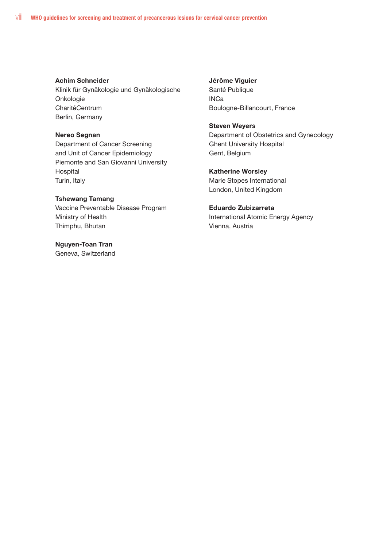#### Achim Schneider

Klinik für Gynäkologie und Gynäkologische Onkologie CharitéCentrum Berlin, Germany

#### Nereo Segnan

Department of Cancer Screening and Unit of Cancer Epidemiology Piemonte and San Giovanni University Hospital Turin, Italy

#### Tshewang Tamang

Vaccine Preventable Disease Program Ministry of Health Thimphu, Bhutan

### Nguyen-Toan Tran

Geneva, Switzerland

#### Jérôme Viguier

Santé Publique INCa Boulogne-Billancourt, France

#### Steven Weyers

Department of Obstetrics and Gynecology Ghent University Hospital Gent, Belgium

#### Katherine Worsley

Marie Stopes International London, United Kingdom

#### Eduardo Zubizarreta

International Atomic Energy Agency Vienna, Austria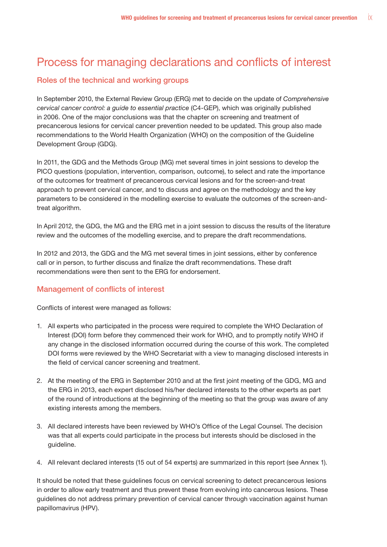## Process for managing declarations and conflicts of interest

### Roles of the technical and working groups

In September 2010, the External Review Group (ERG) met to decide on the update of *Comprehensive cervical cancer control: a guide to essential practice* (C4-GEP), which was originally published in 2006. One of the major conclusions was that the chapter on screening and treatment of precancerous lesions for cervical cancer prevention needed to be updated. This group also made recommendations to the World Health Organization (WHO) on the composition of the Guideline Development Group (GDG).

In 2011, the GDG and the Methods Group (MG) met several times in joint sessions to develop the PICO questions (population, intervention, comparison, outcome), to select and rate the importance of the outcomes for treatment of precancerous cervical lesions and for the screen-and-treat approach to prevent cervical cancer, and to discuss and agree on the methodology and the key parameters to be considered in the modelling exercise to evaluate the outcomes of the screen-andtreat algorithm.

In April 2012, the GDG, the MG and the ERG met in a joint session to discuss the results of the literature review and the outcomes of the modelling exercise, and to prepare the draft recommendations.

In 2012 and 2013, the GDG and the MG met several times in joint sessions, either by conference call or in person, to further discuss and finalize the draft recommendations. These draft recommendations were then sent to the ERG for endorsement.

## Management of conflicts of interest

Conflicts of interest were managed as follows:

- 1. All experts who participated in the process were required to complete the WHO Declaration of Interest (DOI) form before they commenced their work for WHO, and to promptly notify WHO if any change in the disclosed information occurred during the course of this work. The completed DOI forms were reviewed by the WHO Secretariat with a view to managing disclosed interests in the field of cervical cancer screening and treatment.
- 2. At the meeting of the ERG in September 2010 and at the first joint meeting of the GDG, MG and the ERG in 2013, each expert disclosed his/her declared interests to the other experts as part of the round of introductions at the beginning of the meeting so that the group was aware of any existing interests among the members.
- 3. All declared interests have been reviewed by WHO's Office of the Legal Counsel. The decision was that all experts could participate in the process but interests should be disclosed in the guideline.
- 4. All relevant declared interests (15 out of 54 experts) are summarized in this report (see Annex 1).

It should be noted that these guidelines focus on cervical screening to detect precancerous lesions in order to allow early treatment and thus prevent these from evolving into cancerous lesions. These guidelines do not address primary prevention of cervical cancer through vaccination against human papillomavirus (HPV).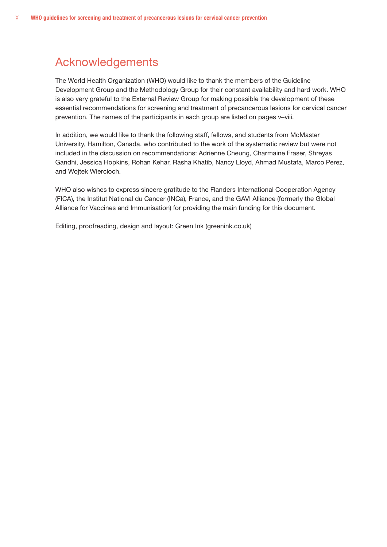## Acknowledgements

The World Health Organization (WHO) would like to thank the members of the Guideline Development Group and the Methodology Group for their constant availability and hard work. WHO is also very grateful to the External Review Group for making possible the development of these essential recommendations for screening and treatment of precancerous lesions for cervical cancer prevention. The names of the participants in each group are listed on pages v–viii.

In addition, we would like to thank the following staff, fellows, and students from McMaster University, Hamilton, Canada, who contributed to the work of the systematic review but were not included in the discussion on recommendations: Adrienne Cheung, Charmaine Fraser, Shreyas Gandhi, Jessica Hopkins, Rohan Kehar, Rasha Khatib, Nancy Lloyd, Ahmad Mustafa, Marco Perez, and Wojtek Wiercioch.

WHO also wishes to express sincere gratitude to the Flanders International Cooperation Agency (FICA), the Institut National du Cancer (INCa), France, and the GAVI Alliance (formerly the Global Alliance for Vaccines and Immunisation) for providing the main funding for this document.

Editing, proofreading, design and layout: Green Ink (greenink.co.uk)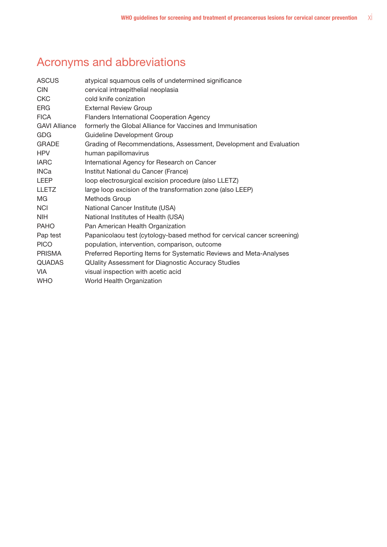# Acronyms and abbreviations

| <b>ASCUS</b>         | atypical squamous cells of undetermined significance                    |  |  |
|----------------------|-------------------------------------------------------------------------|--|--|
| <b>CIN</b>           | cervical intraepithelial neoplasia                                      |  |  |
| <b>CKC</b>           | cold knife conization                                                   |  |  |
| <b>ERG</b>           | <b>External Review Group</b>                                            |  |  |
| <b>FICA</b>          | <b>Flanders International Cooperation Agency</b>                        |  |  |
| <b>GAVI Alliance</b> | formerly the Global Alliance for Vaccines and Immunisation              |  |  |
| GDG                  | Guideline Development Group                                             |  |  |
| <b>GRADE</b>         | Grading of Recommendations, Assessment, Development and Evaluation      |  |  |
| <b>HPV</b>           | human papillomavirus                                                    |  |  |
| <b>IARC</b>          | International Agency for Research on Cancer                             |  |  |
| <b>INCa</b>          | Institut National du Cancer (France)                                    |  |  |
| <b>LEEP</b>          | loop electrosurgical excision procedure (also LLETZ)                    |  |  |
| <b>LLETZ</b>         | large loop excision of the transformation zone (also LEEP)              |  |  |
| MG                   | Methods Group                                                           |  |  |
| <b>NCI</b>           | National Cancer Institute (USA)                                         |  |  |
| <b>NIH</b>           | National Institutes of Health (USA)                                     |  |  |
| <b>PAHO</b>          | Pan American Health Organization                                        |  |  |
| Pap test             | Papanicolaou test (cytology-based method for cervical cancer screening) |  |  |
| <b>PICO</b>          | population, intervention, comparison, outcome                           |  |  |
| <b>PRISMA</b>        | Preferred Reporting Items for Systematic Reviews and Meta-Analyses      |  |  |
| <b>QUADAS</b>        | <b>QUality Assessment for Diagnostic Accuracy Studies</b>               |  |  |
| <b>VIA</b>           | visual inspection with acetic acid                                      |  |  |
| <b>WHO</b>           | World Health Organization                                               |  |  |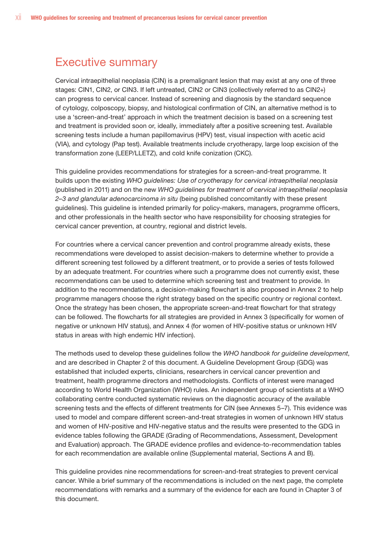## Executive summary

Cervical intraepithelial neoplasia (CIN) is a premalignant lesion that may exist at any one of three stages: CIN1, CIN2, or CIN3. If left untreated, CIN2 or CIN3 (collectively referred to as CIN2+) can progress to cervical cancer. Instead of screening and diagnosis by the standard sequence of cytology, colposcopy, biopsy, and histological confirmation of CIN, an alternative method is to use a 'screen-and-treat' approach in which the treatment decision is based on a screening test and treatment is provided soon or, ideally, immediately after a positive screening test. Available screening tests include a human papillomavirus (HPV) test, visual inspection with acetic acid (VIA), and cytology (Pap test). Available treatments include cryotherapy, large loop excision of the transformation zone (LEEP/LLETZ), and cold knife conization (CKC).

This guideline provides recommendations for strategies for a screen-and-treat programme. It builds upon the existing *WHO guidelines: Use of cryotherapy for cervical intraepithelial neoplasia* (published in 2011) and on the new *WHO guidelines for treatment of cervical intraepithelial neoplasia 2–3 and glandular adenocarcinoma in situ* (being published concomitantly with these present guidelines). This guideline is intended primarily for policy-makers, managers, programme officers, and other professionals in the health sector who have responsibility for choosing strategies for cervical cancer prevention, at country, regional and district levels.

For countries where a cervical cancer prevention and control programme already exists, these recommendations were developed to assist decision-makers to determine whether to provide a different screening test followed by a different treatment, or to provide a series of tests followed by an adequate treatment. For countries where such a programme does not currently exist, these recommendations can be used to determine which screening test and treatment to provide. In addition to the recommendations, a decision-making flowchart is also proposed in Annex 2 to help programme managers choose the right strategy based on the specific country or regional context. Once the strategy has been chosen, the appropriate screen-and-treat flowchart for that strategy can be followed. The flowcharts for all strategies are provided in Annex 3 (specifically for women of negative or unknown HIV status), and Annex 4 (for women of HIV-positive status or unknown HIV status in areas with high endemic HIV infection).

The methods used to develop these guidelines follow the *WHO handbook for guideline development*, and are described in Chapter 2 of this document. A Guideline Development Group (GDG) was established that included experts, clinicians, researchers in cervical cancer prevention and treatment, health programme directors and methodologists. Conflicts of interest were managed according to World Health Organization (WHO) rules. An independent group of scientists at a WHO collaborating centre conducted systematic reviews on the diagnostic accuracy of the available screening tests and the effects of different treatments for CIN (see Annexes 5–7). This evidence was used to model and compare different screen-and-treat strategies in women of unknown HIV status and women of HIV-positive and HIV-negative status and the results were presented to the GDG in evidence tables following the GRADE (Grading of Recommendations, Assessment, Development and Evaluation) approach. The GRADE evidence profiles and evidence-to-recommendation tables for each recommendation are available online (Supplemental material, Sections A and B).

This guideline provides nine recommendations for screen-and-treat strategies to prevent cervical cancer. While a brief summary of the recommendations is included on the next page, the complete recommendations with remarks and a summary of the evidence for each are found in Chapter 3 of this document.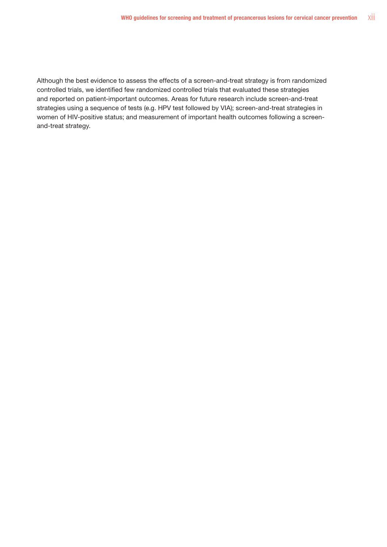Although the best evidence to assess the effects of a screen-and-treat strategy is from randomized controlled trials, we identified few randomized controlled trials that evaluated these strategies and reported on patient-important outcomes. Areas for future research include screen-and-treat strategies using a sequence of tests (e.g. HPV test followed by VIA); screen-and-treat strategies in women of HIV-positive status; and measurement of important health outcomes following a screenand-treat strategy.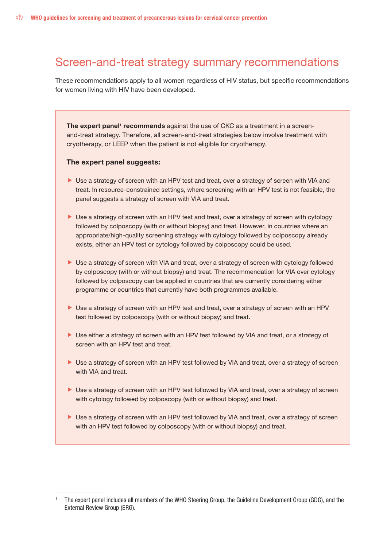## Screen-and-treat strategy summary recommendations

These recommendations apply to all women regardless of HIV status, but specific recommendations for women living with HIV have been developed.

The expert panel<sup>1</sup> recommends against the use of CKC as a treatment in a screenand-treat strategy. Therefore, all screen-and-treat strategies below involve treatment with cryotherapy, or LEEP when the patient is not eligible for cryotherapy.

#### The expert panel suggests:

- I Use a strategy of screen with an HPV test and treat, over a strategy of screen with VIA and treat. In resource-constrained settings, where screening with an HPV test is not feasible, the panel suggests a strategy of screen with VIA and treat.
- I Use a strategy of screen with an HPV test and treat, over a strategy of screen with cytology followed by colposcopy (with or without biopsy) and treat. However, in countries where an appropriate/high-quality screening strategy with cytology followed by colposcopy already exists, either an HPV test or cytology followed by colposcopy could be used.
- I Use a strategy of screen with VIA and treat, over a strategy of screen with cytology followed by colposcopy (with or without biopsy) and treat. The recommendation for VIA over cytology followed by colposcopy can be applied in countries that are currently considering either programme or countries that currently have both programmes available.
- If Use a strategy of screen with an HPV test and treat, over a strategy of screen with an HPV test followed by colposcopy (with or without biopsy) and treat.
- If Use either a strategy of screen with an HPV test followed by VIA and treat, or a strategy of screen with an HPV test and treat.
- I Use a strategy of screen with an HPV test followed by VIA and treat, over a strategy of screen with VIA and treat.
- ▶ Use a strategy of screen with an HPV test followed by VIA and treat, over a strategy of screen with cytology followed by colposcopy (with or without biopsy) and treat.
- ▶ Use a strategy of screen with an HPV test followed by VIA and treat, over a strategy of screen with an HPV test followed by colposcopy (with or without biopsy) and treat.

<sup>1</sup> The expert panel includes all members of the WHO Steering Group, the Guideline Development Group (GDG), and the External Review Group (ERG).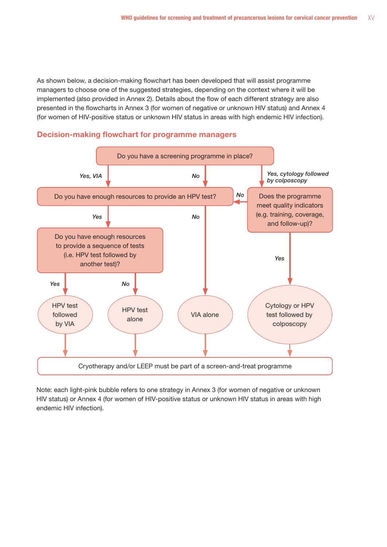As shown below, a decision-making flowchart has been developed that will assist programme managers to choose one of the suggested strategies, depending on the context where it will be implemented (also provided in Annex 2). Details about the flow of each different strategy are also presented in the flowcharts in Annex 3 (for women of negative or unknown HIV status) and Annex 4 (for women of HIV-positive status or unknown HIV status in areas with high endemic HIV infection).





Note: each light-pink bubble refers to one strategy in Annex 3 (for women of negative or unknown HIV status) or Annex 4 (for women of HIV-positive status or unknown HIV status in areas with high endemic HIV infection).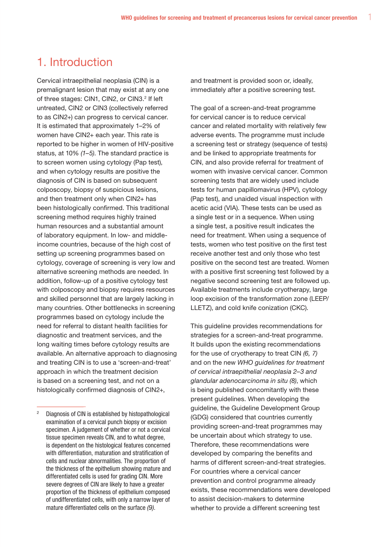## 1. Introduction

Cervical intraepithelial neoplasia (CIN) is a premalignant lesion that may exist at any one of three stages: CIN1, CIN2, or CIN3.<sup>2</sup> If left untreated, CIN2 or CIN3 (collectively referred to as CIN2+) can progress to cervical cancer. It is estimated that approximately 1–2% of women have CIN2+ each year. This rate is reported to be higher in women of HIV-positive status, at 10% *(1–5)*. The standard practice is to screen women using cytology (Pap test), and when cytology results are positive the diagnosis of CIN is based on subsequent colposcopy, biopsy of suspicious lesions, and then treatment only when CIN2+ has been histologically confirmed. This traditional screening method requires highly trained human resources and a substantial amount of laboratory equipment. In low- and middleincome countries, because of the high cost of setting up screening programmes based on cytology, coverage of screening is very low and alternative screening methods are needed. In addition, follow-up of a positive cytology test with colposcopy and biopsy requires resources and skilled personnel that are largely lacking in many countries. Other bottlenecks in screening programmes based on cytology include the need for referral to distant health facilities for diagnostic and treatment services, and the long waiting times before cytology results are available. An alternative approach to diagnosing and treating CIN is to use a 'screen-and-treat' approach in which the treatment decision is based on a screening test, and not on a histologically confirmed diagnosis of CIN2+,

and treatment is provided soon or, ideally, immediately after a positive screening test.

The goal of a screen-and-treat programme for cervical cancer is to reduce cervical cancer and related mortality with relatively few adverse events. The programme must include a screening test or strategy (sequence of tests) and be linked to appropriate treatments for CIN, and also provide referral for treatment of women with invasive cervical cancer. Common screening tests that are widely used include tests for human papillomavirus (HPV), cytology (Pap test), and unaided visual inspection with acetic acid (VIA). These tests can be used as a single test or in a sequence. When using a single test, a positive result indicates the need for treatment. When using a sequence of tests, women who test positive on the first test receive another test and only those who test positive on the second test are treated. Women with a positive first screening test followed by a negative second screening test are followed up. Available treatments include cryotherapy, large loop excision of the transformation zone (LEEP/ LLETZ), and cold knife conization (CKC).

This guideline provides recommendations for strategies for a screen-and-treat programme. It builds upon the existing recommendations for the use of cryotherapy to treat CIN *(6, 7)* and on the new *WHO guidelines for treatment of cervical intraepithelial neoplasia 2–3 and glandular adenocarcinoma in situ (8)*, which is being published concomitantly with these present guidelines. When developing the guideline, the Guideline Development Group (GDG) considered that countries currently providing screen-and-treat programmes may be uncertain about which strategy to use. Therefore, these recommendations were developed by comparing the benefits and harms of different screen-and-treat strategies. For countries where a cervical cancer prevention and control programme already exists, these recommendations were developed to assist decision-makers to determine whether to provide a different screening test

<sup>2</sup> Diagnosis of CIN is established by histopathological examination of a cervical punch biopsy or excision specimen. A judgement of whether or not a cervical tissue specimen reveals CIN, and to what degree, is dependent on the histological features concerned with differentiation, maturation and stratification of cells and nuclear abnormalities. The proportion of the thickness of the epithelium showing mature and differentiated cells is used for grading CIN. More severe degrees of CIN are likely to have a greater proportion of the thickness of epithelium composed of undifferentiated cells, with only a narrow layer of mature differentiated cells on the surface *(9)*.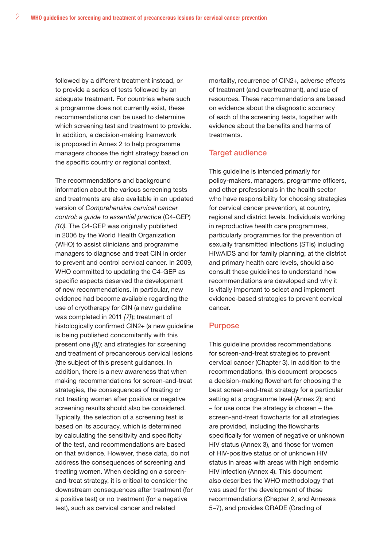followed by a different treatment instead, or to provide a series of tests followed by an adequate treatment. For countries where such a programme does not currently exist, these recommendations can be used to determine which screening test and treatment to provide. In addition, a decision-making framework is proposed in Annex 2 to help programme managers choose the right strategy based on the specific country or regional context.

The recommendations and background information about the various screening tests and treatments are also available in an updated version of *Comprehensive cervical cancer control: a guide to essential practice* (C4-GEP) *(10)*. The C4-GEP was originally published in 2006 by the World Health Organization (WHO) to assist clinicians and programme managers to diagnose and treat CIN in order to prevent and control cervical cancer. In 2009, WHO committed to updating the C4-GEP as specific aspects deserved the development of new recommendations. In particular, new evidence had become available regarding the use of cryotherapy for CIN (a new guideline was completed in 2011 *[7]*); treatment of histologically confirmed CIN2+ (a new quideline is being published concomitantly with this present one *[8]*); and strategies for screening and treatment of precancerous cervical lesions (the subject of this present guidance). In addition, there is a new awareness that when making recommendations for screen-and-treat strategies, the consequences of treating or not treating women after positive or negative screening results should also be considered. Typically, the selection of a screening test is based on its accuracy, which is determined by calculating the sensitivity and specificity of the test, and recommendations are based on that evidence. However, these data, do not address the consequences of screening and treating women. When deciding on a screenand-treat strategy, it is critical to consider the downstream consequences after treatment (for a positive test) or no treatment (for a negative test), such as cervical cancer and related

mortality, recurrence of CIN2+, adverse effects of treatment (and overtreatment), and use of resources. These recommendations are based on evidence about the diagnostic accuracy of each of the screening tests, together with evidence about the benefits and harms of treatments.

#### Target audience

This guideline is intended primarily for policy-makers, managers, programme officers, and other professionals in the health sector who have responsibility for choosing strategies for cervical cancer prevention, at country, regional and district levels. Individuals working in reproductive health care programmes, particularly programmes for the prevention of sexually transmitted infections (STIs) including HIV/AIDS and for family planning, at the district and primary health care levels, should also consult these guidelines to understand how recommendations are developed and why it is vitally important to select and implement evidence-based strategies to prevent cervical cancer.

#### **Purpose**

This guideline provides recommendations for screen-and-treat strategies to prevent cervical cancer (Chapter 3). In addition to the recommendations, this document proposes a decision-making flowchart for choosing the best screen-and-treat strategy for a particular setting at a programme level (Annex 2); and – for use once the strategy is chosen – the screen-and-treat flowcharts for all strategies are provided, including the flowcharts specifically for women of negative or unknown HIV status (Annex 3), and those for women of HIV-positive status or of unknown HIV status in areas with areas with high endemic HIV infection (Annex 4). This document also describes the WHO methodology that was used for the development of these recommendations (Chapter 2, and Annexes 5–7), and provides GRADE (Grading of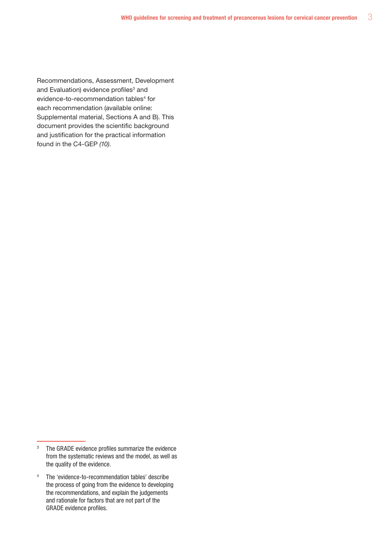Recommendations, Assessment, Development and Evaluation) evidence profiles<sup>3</sup> and evidence-to-recommendation tables<sup>4</sup> for each recommendation (available online: Supplemental material, Sections A and B). This document provides the scientific background and justification for the practical information found in the C4-GEP *(10)*.

<sup>&</sup>lt;sup>3</sup> The GRADE evidence profiles summarize the evidence from the systematic reviews and the model, as well as the quality of the evidence.

<sup>4</sup> The 'evidence-to-recommendation tables' describe the process of going from the evidence to developing the recommendations, and explain the judgements and rationale for factors that are not part of the GRADE evidence profiles.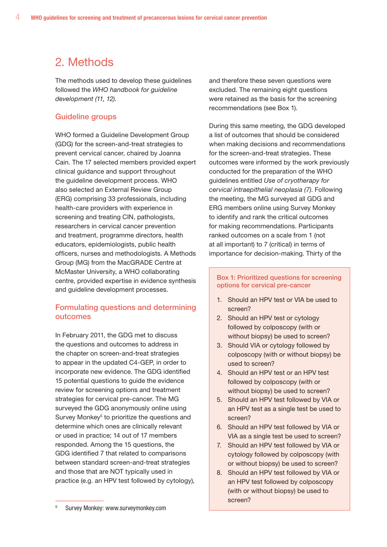## 2. Methods

The methods used to develop these guidelines followed the *WHO handbook for guideline development (11, 12)*.

## Guideline groups

WHO formed a Guideline Development Group (GDG) for the screen-and-treat strategies to prevent cervical cancer, chaired by Joanna Cain. The 17 selected members provided expert clinical guidance and support throughout the guideline development process. WHO also selected an External Review Group (ERG) comprising 33 professionals, including health-care providers with experience in screening and treating CIN, pathologists, researchers in cervical cancer prevention and treatment, programme directors, health educators, epidemiologists, public health officers, nurses and methodologists. A Methods Group (MG) from the MacGRADE Centre at McMaster University, a WHO collaborating centre, provided expertise in evidence synthesis and guideline development processes.

### Formulating questions and determining outcomes

In February 2011, the GDG met to discuss the questions and outcomes to address in the chapter on screen-and-treat strategies to appear in the updated C4-GEP, in order to incorporate new evidence. The GDG identified 15 potential questions to guide the evidence review for screening options and treatment strategies for cervical pre-cancer. The MG surveyed the GDG anonymously online using Survey Monkey<sup>5</sup> to prioritize the questions and determine which ones are clinically relevant or used in practice; 14 out of 17 members responded. Among the 15 questions, the GDG identified 7 that related to comparisons between standard screen-and-treat strategies and those that are NOT typically used in practice (e.g. an HPV test followed by cytology), and therefore these seven questions were excluded. The remaining eight questions were retained as the basis for the screening recommendations (see Box 1).

During this same meeting, the GDG developed a list of outcomes that should be considered when making decisions and recommendations for the screen-and-treat strategies. These outcomes were informed by the work previously conducted for the preparation of the WHO guidelines entitled *Use of cryotherapy for cervical intraepithelial neoplasia (7)*. Following the meeting, the MG surveyed all GDG and ERG members online using Survey Monkey to identify and rank the critical outcomes for making recommendations. Participants ranked outcomes on a scale from 1 (not at all important) to 7 (critical) in terms of importance for decision-making. Thirty of the

#### Box 1: Prioritized questions for screening options for cervical pre-cancer

- 1. Should an HPV test or VIA be used to screen?
- 2. Should an HPV test or cytology followed by colposcopy (with or without biopsy) be used to screen?
- 3. Should VIA or cytology followed by colposcopy (with or without biopsy) be used to screen?
- 4. Should an HPV test or an HPV test followed by colposcopy (with or without biopsy) be used to screen?
- 5. Should an HPV test followed by VIA or an HPV test as a single test be used to screen?
- 6. Should an HPV test followed by VIA or VIA as a single test be used to screen?
- 7. Should an HPV test followed by VIA or cytology followed by colposcopy (with or without biopsy) be used to screen?
- 8. Should an HPV test followed by VIA or an HPV test followed by colposcopy (with or without biopsy) be used to screen?

<sup>5</sup> Survey Monkey: www.surveymonkey.com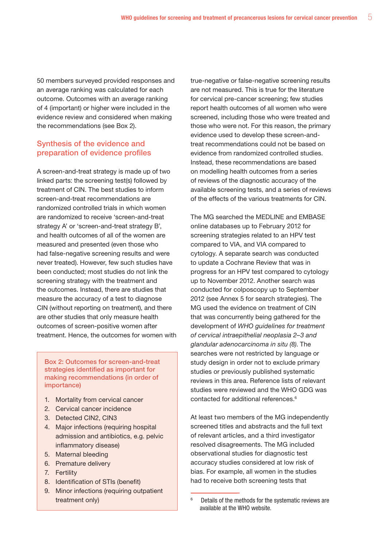50 members surveyed provided responses and an average ranking was calculated for each outcome. Outcomes with an average ranking of 4 (important) or higher were included in the evidence review and considered when making the recommendations (see Box 2).

### Synthesis of the evidence and preparation of evidence profiles

A screen-and-treat strategy is made up of two linked parts: the screening test(s) followed by treatment of CIN. The best studies to inform screen-and-treat recommendations are randomized controlled trials in which women are randomized to receive 'screen-and-treat strategy A' or 'screen-and-treat strategy B', and health outcomes of all of the women are measured and presented (even those who had false-negative screening results and were never treated). However, few such studies have been conducted; most studies do not link the screening strategy with the treatment and the outcomes. Instead, there are studies that measure the accuracy of a test to diagnose CIN (without reporting on treatment), and there are other studies that only measure health outcomes of screen-positive women after treatment. Hence, the outcomes for women with

Box 2: Outcomes for screen-and-treat strategies identified as important for making recommendations (in order of importance)

- 1. Mortality from cervical cancer
- 2. Cervical cancer incidence
- 3. Detected CIN2, CIN3
- 4. Major infections (requiring hospital admission and antibiotics, e.g. pelvic inflammatory disease)
- 5. Maternal bleeding
- 6. Premature delivery
- 7. Fertility
- 8. Identification of STIs (benefit)
- 9. Minor infections (requiring outpatient treatment only)

true-negative or false-negative screening results are not measured. This is true for the literature for cervical pre-cancer screening; few studies report health outcomes of all women who were screened, including those who were treated and those who were not. For this reason, the primary evidence used to develop these screen-andtreat recommendations could not be based on evidence from randomized controlled studies. Instead, these recommendations are based on modelling health outcomes from a series of reviews of the diagnostic accuracy of the available screening tests, and a series of reviews of the effects of the various treatments for CIN.

The MG searched the MEDLINE and EMBASE online databases up to February 2012 for screening strategies related to an HPV test compared to VIA, and VIA compared to cytology. A separate search was conducted to update a Cochrane Review that was in progress for an HPV test compared to cytology up to November 2012. Another search was conducted for colposcopy up to September 2012 (see Annex 5 for search strategies). The MG used the evidence on treatment of CIN that was concurrently being gathered for the development of *WHO guidelines for treatment of cervical intraepithelial neoplasia 2–3 and glandular adenocarcinoma in situ (8)*. The searches were not restricted by language or study design in order not to exclude primary studies or previously published systematic reviews in this area. Reference lists of relevant studies were reviewed and the WHO GDG was contacted for additional references.<sup>6</sup>

At least two members of the MG independently screened titles and abstracts and the full text of relevant articles, and a third investigator resolved disagreements. The MG included observational studies for diagnostic test accuracy studies considered at low risk of bias. For example, all women in the studies had to receive both screening tests that

<sup>6</sup> Details of the methods for the systematic reviews are available at the WHO website.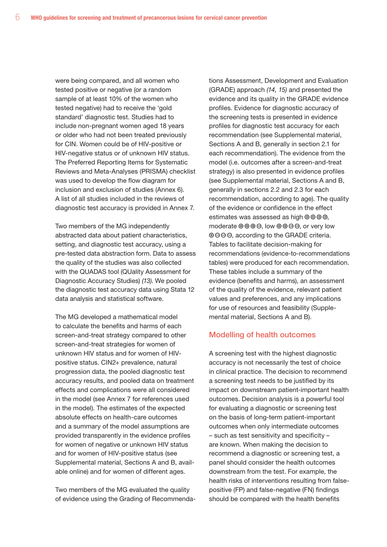were being compared, and all women who tested positive or negative (or a random sample of at least 10% of the women who tested negative) had to receive the 'gold standard' diagnostic test. Studies had to include non-pregnant women aged 18 years or older who had not been treated previously for CIN. Women could be of HIV-positive or HIV-negative status or of unknown HIV status. The Preferred Reporting Items for Systematic Reviews and Meta-Analyses (PRISMA) checklist was used to develop the flow diagram for inclusion and exclusion of studies (Annex 6). A list of all studies included in the reviews of diagnostic test accuracy is provided in Annex 7.

Two members of the MG independently abstracted data about patient characteristics, setting, and diagnostic test accuracy, using a pre-tested data abstraction form. Data to assess the quality of the studies was also collected with the QUADAS tool (QUality Assessment for Diagnostic Accuracy Studies) *(13)*. We pooled the diagnostic test accuracy data using Stata 12 data analysis and statistical software.

The MG developed a mathematical model to calculate the benefits and harms of each screen-and-treat strategy compared to other screen-and-treat strategies for women of unknown HIV status and for women of HIVpositive status. CIN2+ prevalence, natural progression data, the pooled diagnostic test accuracy results, and pooled data on treatment effects and complications were all considered in the model (see Annex 7 for references used in the model). The estimates of the expected absolute effects on health-care outcomes and a summary of the model assumptions are provided transparently in the evidence profiles for women of negative or unknown HIV status and for women of HIV-positive status (see Supplemental material, Sections A and B, available online) and for women of different ages.

Two members of the MG evaluated the quality of evidence using the Grading of Recommendations Assessment, Development and Evaluation (GRADE) approach *(14, 15)* and presented the evidence and its quality in the GRADE evidence profiles. Evidence for diagnostic accuracy of the screening tests is presented in evidence profiles for diagnostic test accuracy for each recommendation (see Supplemental material, Sections A and B, generally in section 2.1 for each recommendation). The evidence from the model (i.e. outcomes after a screen-and-treat strategy) is also presented in evidence profiles (see Supplemental material, Sections A and B, generally in sections 2.2 and 2.3 for each recommendation, according to age). The quality of the evidence or confidence in the effect estimates was assessed as high  $\oplus \oplus \oplus \oplus$ . moderate  $\oplus \oplus \oplus \ominus$ , low  $\oplus \oplus \ominus \ominus$ , or very low  $\Theta \Theta \Theta \Theta$ , according to the GRADE criteria. Tables to facilitate decision-making for recommendations (evidence-to-recommendations tables) were produced for each recommendation. These tables include a summary of the evidence (benefits and harms), an assessment of the quality of the evidence, relevant patient values and preferences, and any implications for use of resources and feasibility (Supplemental material, Sections A and B).

#### Modelling of health outcomes

A screening test with the highest diagnostic accuracy is not necessarily the test of choice in clinical practice. The decision to recommend a screening test needs to be justified by its impact on downstream patient-important health outcomes. Decision analysis is a powerful tool for evaluating a diagnostic or screening test on the basis of long-term patient-important outcomes when only intermediate outcomes – such as test sensitivity and specificity – are known. When making the decision to recommend a diagnostic or screening test, a panel should consider the health outcomes downstream from the test. For example, the health risks of interventions resulting from falsepositive (FP) and false-negative (FN) findings should be compared with the health benefits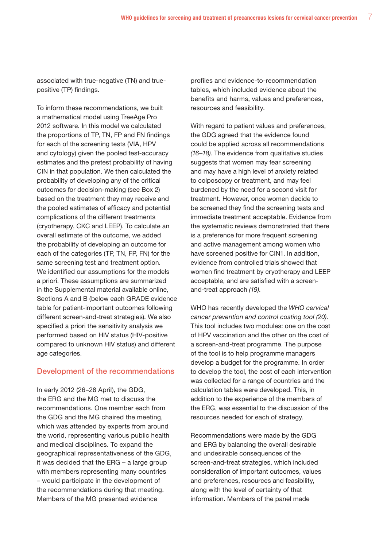associated with true-negative (TN) and truepositive (TP) findings.

To inform these recommendations, we built a mathematical model using TreeAge Pro 2012 software. In this model we calculated the proportions of TP, TN, FP and FN findings for each of the screening tests (VIA, HPV and cytology) given the pooled test-accuracy estimates and the pretest probability of having CIN in that population. We then calculated the probability of developing any of the critical outcomes for decision-making (see Box 2) based on the treatment they may receive and the pooled estimates of efficacy and potential complications of the different treatments (cryotherapy, CKC and LEEP). To calculate an overall estimate of the outcome, we added the probability of developing an outcome for each of the categories (TP, TN, FP, FN) for the same screening test and treatment option. We identified our assumptions for the models a priori. These assumptions are summarized in the Supplemental material available online, Sections A and B (below each GRADE evidence table for patient-important outcomes following different screen-and-treat strategies). We also specified a priori the sensitivity analysis we performed based on HIV status (HIV-positive compared to unknown HIV status) and different age categories.

#### Development of the recommendations

In early 2012 (26–28 April), the GDG, the ERG and the MG met to discuss the recommendations. One member each from the GDG and the MG chaired the meeting, which was attended by experts from around the world, representing various public health and medical disciplines. To expand the geographical representativeness of the GDG, it was decided that the ERG – a large group with members representing many countries – would participate in the development of the recommendations during that meeting. Members of the MG presented evidence

profiles and evidence-to-recommendation tables, which included evidence about the benefits and harms, values and preferences, resources and feasibility.

With regard to patient values and preferences, the GDG agreed that the evidence found could be applied across all recommendations *(16–18)*. The evidence from qualitative studies suggests that women may fear screening and may have a high level of anxiety related to colposcopy or treatment, and may feel burdened by the need for a second visit for treatment. However, once women decide to be screened they find the screening tests and immediate treatment acceptable. Evidence from the systematic reviews demonstrated that there is a preference for more frequent screening and active management among women who have screened positive for CIN1. In addition, evidence from controlled trials showed that women find treatment by cryotherapy and LEEP acceptable, and are satisfied with a screenand-treat approach *(19)*.

WHO has recently developed the *WHO cervical cancer prevention and control costing tool (20)*. This tool includes two modules: one on the cost of HPV vaccination and the other on the cost of a screen-and-treat programme. The purpose of the tool is to help programme managers develop a budget for the programme. In order to develop the tool, the cost of each intervention was collected for a range of countries and the calculation tables were developed. This, in addition to the experience of the members of the ERG, was essential to the discussion of the resources needed for each of strategy.

Recommendations were made by the GDG and ERG by balancing the overall desirable and undesirable consequences of the screen-and-treat strategies, which included consideration of important outcomes, values and preferences, resources and feasibility, along with the level of certainty of that information. Members of the panel made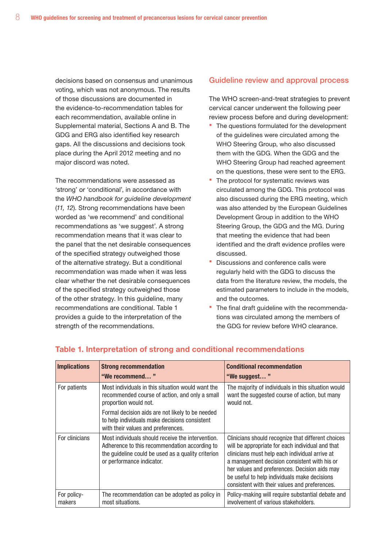decisions based on consensus and unanimous voting, which was not anonymous. The results of those discussions are documented in the evidence-to-recommendation tables for each recommendation, available online in Supplemental material, Sections A and B. The GDG and ERG also identified key research gaps. All the discussions and decisions took place during the April 2012 meeting and no major discord was noted.

The recommendations were assessed as 'strong' or 'conditional', in accordance with the *WHO handbook for guideline development*  (*11, 12*). Strong recommendations have been worded as 'we recommend' and conditional recommendations as 'we suggest'. A strong recommendation means that it was clear to the panel that the net desirable consequences of the specified strategy outweighed those of the alternative strategy. But a conditional recommendation was made when it was less clear whether the net desirable consequences of the specified strategy outweighed those of the other strategy. In this guideline, many recommendations are conditional. Table 1 provides a guide to the interpretation of the strength of the recommendations.

#### Guideline review and approval process

The WHO screen-and-treat strategies to prevent cervical cancer underwent the following peer review process before and during development:

- The questions formulated for the development of the guidelines were circulated among the WHO Steering Group, who also discussed them with the GDG. When the GDG and the WHO Steering Group had reached agreement on the questions, these were sent to the ERG.
- The protocol for systematic reviews was circulated among the GDG. This protocol was also discussed during the ERG meeting, which was also attended by the European Guidelines Development Group in addition to the WHO Steering Group, the GDG and the MG. During that meeting the evidence that had been identified and the draft evidence profiles were discussed.
- Discussions and conference calls were regularly held with the GDG to discuss the data from the literature review, the models, the estimated parameters to include in the models, and the outcomes.
- The final draft guideline with the recommendations was circulated among the members of the GDG for review before WHO clearance.

| <b>Implications</b>   | <b>Strong recommendation</b><br>"We recommend"                                                                                                                                        | <b>Conditional recommendation</b><br>"We suggest"                                                                                                                                                                                                                                                                                                          |
|-----------------------|---------------------------------------------------------------------------------------------------------------------------------------------------------------------------------------|------------------------------------------------------------------------------------------------------------------------------------------------------------------------------------------------------------------------------------------------------------------------------------------------------------------------------------------------------------|
| For patients          | Most individuals in this situation would want the<br>recommended course of action, and only a small<br>proportion would not.                                                          | The majority of individuals in this situation would<br>want the suggested course of action, but many<br>would not.                                                                                                                                                                                                                                         |
|                       | Formal decision aids are not likely to be needed<br>to help individuals make decisions consistent<br>with their values and preferences.                                               |                                                                                                                                                                                                                                                                                                                                                            |
| For clinicians        | Most individuals should receive the intervention.<br>Adherence to this recommendation according to<br>the guideline could be used as a quality criterion<br>or performance indicator. | Clinicians should recognize that different choices<br>will be appropriate for each individual and that<br>clinicians must help each individual arrive at<br>a management decision consistent with his or<br>her values and preferences. Decision aids may<br>be useful to help individuals make decisions<br>consistent with their values and preferences. |
| For policy-<br>makers | The recommendation can be adopted as policy in<br>most situations.                                                                                                                    | Policy-making will require substantial debate and<br>involvement of various stakeholders.                                                                                                                                                                                                                                                                  |

### Table 1. Interpretation of strong and conditional recommendations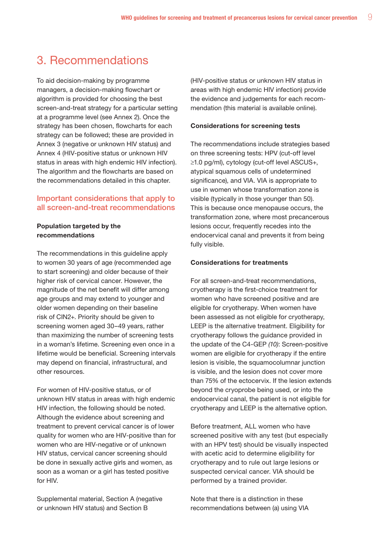## 3. Recommendations

To aid decision-making by programme managers, a decision-making flowchart or algorithm is provided for choosing the best screen-and-treat strategy for a particular setting at a programme level (see Annex 2). Once the strategy has been chosen, flowcharts for each strategy can be followed; these are provided in Annex 3 (negative or unknown HIV status) and Annex 4 (HIV-positive status or unknown HIV status in areas with high endemic HIV infection). The algorithm and the flowcharts are based on the recommendations detailed in this chapter.

## Important considerations that apply to all screen-and-treat recommendations

### Population targeted by the recommendations

The recommendations in this guideline apply to women 30 years of age (recommended age to start screening) and older because of their higher risk of cervical cancer. However, the magnitude of the net benefit will differ among age groups and may extend to younger and older women depending on their baseline risk of CIN2+. Priority should be given to screening women aged 30–49 years, rather than maximizing the number of screening tests in a woman's lifetime. Screening even once in a lifetime would be beneficial. Screening intervals may depend on financial, infrastructural, and other resources.

For women of HIV-positive status, or of unknown HIV status in areas with high endemic HIV infection, the following should be noted. Although the evidence about screening and treatment to prevent cervical cancer is of lower quality for women who are HIV-positive than for women who are HIV-negative or of unknown HIV status, cervical cancer screening should be done in sexually active girls and women, as soon as a woman or a girl has tested positive for HIV.

Supplemental material, Section A (negative or unknown HIV status) and Section B

(HIV-positive status or unknown HIV status in areas with high endemic HIV infection) provide the evidence and judgements for each recommendation (this material is available online).

#### Considerations for screening tests

The recommendations include strategies based on three screening tests: HPV (cut-off level ≥1.0 pg/ml), cytology (cut-off level ASCUS+, atypical squamous cells of undetermined significance), and VIA. VIA is appropriate to use in women whose transformation zone is visible (typically in those younger than 50). This is because once menopause occurs, the transformation zone, where most precancerous lesions occur, frequently recedes into the endocervical canal and prevents it from being fully visible.

#### Considerations for treatments

For all screen-and-treat recommendations, cryotherapy is the first-choice treatment for women who have screened positive and are eligible for cryotherapy. When women have been assessed as not eligible for cryotherapy, LEEP is the alternative treatment. Eligibility for cryotherapy follows the guidance provided in the update of the C4-GEP *(10)*: Screen-positive women are eligible for cryotherapy if the entire lesion is visible, the squamocolumnar junction is visible, and the lesion does not cover more than 75% of the ectocervix. If the lesion extends beyond the cryoprobe being used, or into the endocervical canal, the patient is not eligible for cryotherapy and LEEP is the alternative option.

Before treatment, ALL women who have screened positive with any test (but especially with an HPV test) should be visually inspected with acetic acid to determine eligibility for cryotherapy and to rule out large lesions or suspected cervical cancer. VIA should be performed by a trained provider.

Note that there is a distinction in these recommendations between (a) using VIA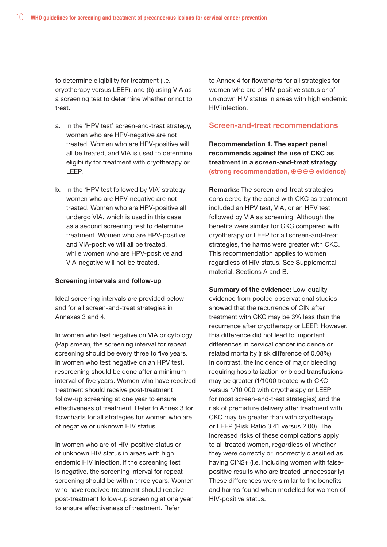to determine eligibility for treatment (i.e. cryotherapy versus LEEP), and (b) using VIA as a screening test to determine whether or not to treat.

- a. In the 'HPV test' screen-and-treat strategy, women who are HPV-negative are not treated. Women who are HPV-positive will all be treated, and VIA is used to determine eligibility for treatment with cryotherapy or LEEP.
- b. In the 'HPV test followed by VIA' strategy, women who are HPV-negative are not treated. Women who are HPV-positive all undergo VIA, which is used in this case as a second screening test to determine treatment. Women who are HPV-positive and VIA-positive will all be treated, while women who are HPV-positive and VIA-negative will not be treated.

#### Screening intervals and follow-up

Ideal screening intervals are provided below and for all screen-and-treat strategies in Annexes 3 and 4.

In women who test negative on VIA or cytology (Pap smear), the screening interval for repeat screening should be every three to five years. In women who test negative on an HPV test, rescreening should be done after a minimum interval of five years. Women who have received treatment should receive post-treatment follow-up screening at one year to ensure effectiveness of treatment. Refer to Annex 3 for flowcharts for all strategies for women who are of negative or unknown HIV status.

In women who are of HIV-positive status or of unknown HIV status in areas with high endemic HIV infection, if the screening test is negative, the screening interval for repeat screening should be within three years. Women who have received treatment should receive post-treatment follow-up screening at one year to ensure effectiveness of treatment. Refer

to Annex 4 for flowcharts for all strategies for women who are of HIV-positive status or of unknown HIV status in areas with high endemic HIV infection.

#### Screen-and-treat recommendations

Recommendation 1. The expert panel recommends against the use of CKC as treatment in a screen-and-treat strategy (strong recommendation,  $\oplus \ominus \ominus \ominus$  evidence)

Remarks: The screen-and-treat strategies considered by the panel with CKC as treatment included an HPV test, VIA, or an HPV test followed by VIA as screening. Although the benefits were similar for CKC compared with cryotherapy or LEEP for all screen-and-treat strategies, the harms were greater with CKC. This recommendation applies to women regardless of HIV status. See Supplemental material, Sections A and B.

Summary of the evidence: Low-quality evidence from pooled observational studies showed that the recurrence of CIN after treatment with CKC may be 3% less than the recurrence after cryotherapy or LEEP. However, this difference did not lead to important differences in cervical cancer incidence or related mortality (risk difference of 0.08%). In contrast, the incidence of major bleeding requiring hospitalization or blood transfusions may be greater (1/1000 treated with CKC versus 1/10 000 with cryotherapy or LEEP for most screen-and-treat strategies) and the risk of premature delivery after treatment with CKC may be greater than with cryotherapy or LEEP (Risk Ratio 3.41 versus 2.00). The increased risks of these complications apply to all treated women, regardless of whether they were correctly or incorrectly classified as having CIN2+ (i.e. including women with falsepositive results who are treated unnecessarily). These differences were similar to the benefits and harms found when modelled for women of HIV-positive status.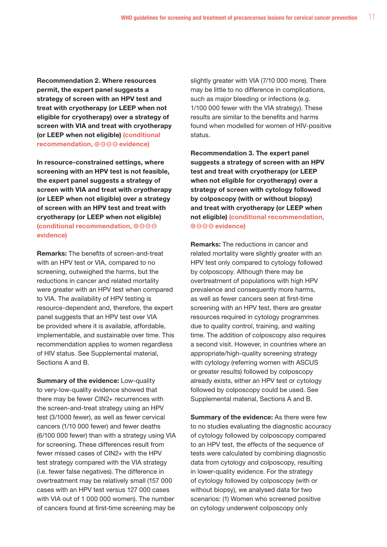Recommendation 2. Where resources permit, the expert panel suggests a strategy of screen with an HPV test and treat with cryotherapy (or LEEP when not eligible for cryotherapy) over a strategy of screen with VIA and treat with cryotherapy (or LEEP when not eligible) (conditional recommendation,  $\oplus \ominus \ominus \ominus$  evidence)

In resource-constrained settings, where screening with an HPV test is not feasible, the expert panel suggests a strategy of screen with VIA and treat with cryotherapy (or LEEP when not eligible) over a strategy of screen with an HPV test and treat with cryotherapy (or LEEP when not eligible) (conditional recommendation,  $\oplus \ominus \ominus \ominus$ evidence)

Remarks: The benefits of screen-and-treat with an HPV test or VIA, compared to no screening, outweighed the harms, but the reductions in cancer and related mortality were greater with an HPV test when compared to VIA. The availability of HPV testing is resource-dependent and, therefore, the expert panel suggests that an HPV test over VIA be provided where it is available, affordable, implementable, and sustainable over time. This recommendation applies to women regardless of HIV status. See Supplemental material, Sections A and B.

Summary of the evidence: Low-quality to very-low-quality evidence showed that there may be fewer CIN2+ recurrences with the screen-and-treat strategy using an HPV test (3/1000 fewer), as well as fewer cervical cancers (1/10 000 fewer) and fewer deaths (6/100 000 fewer) than with a strategy using VIA for screening. These differences result from fewer missed cases of CIN2+ with the HPV test strategy compared with the VIA strategy (i.e. fewer false negatives). The difference in overtreatment may be relatively small (157 000 cases with an HPV test versus 127 000 cases with VIA out of 1 000 000 women). The number of cancers found at first-time screening may be

slightly greater with VIA (7/10 000 more). There may be little to no difference in complications, such as major bleeding or infections (e.g. 1/100 000 fewer with the VIA strategy). These results are similar to the benefits and harms found when modelled for women of HIV-positive status.

Recommendation 3. The expert panel suggests a strategy of screen with an HPV test and treat with cryotherapy (or LEEP when not eligible for cryotherapy) over a strategy of screen with cytology followed by colposcopy (with or without biopsy) and treat with cryotherapy (or LEEP when not eligible) (conditional recommendation,  $\oplus$  $\ominus$  $\ominus$  evidence)

Remarks: The reductions in cancer and related mortality were slightly greater with an HPV test only compared to cytology followed by colposcopy. Although there may be overtreatment of populations with high HPV prevalence and consequently more harms, as well as fewer cancers seen at first-time screening with an HPV test, there are greater resources required in cytology programmes due to quality control, training, and waiting time. The addition of colposcopy also requires a second visit. However, in countries where an appropriate/high-quality screening strategy with cytology (referring women with ASCUS or greater results) followed by colposcopy already exists, either an HPV test or cytology followed by colposcopy could be used. See Supplemental material, Sections A and B.

**Summary of the evidence:** As there were few to no studies evaluating the diagnostic accuracy of cytology followed by colposcopy compared to an HPV test, the effects of the sequence of tests were calculated by combining diagnostic data from cytology and colposcopy, resulting in lower-quality evidence. For the strategy of cytology followed by colposcopy (with or without biopsy), we analysed data for two scenarios: (1) Women who screened positive on cytology underwent colposcopy only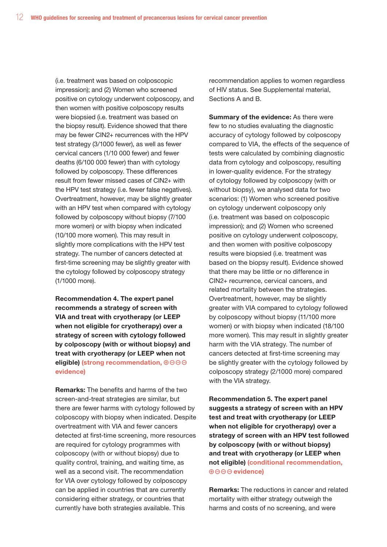(i.e. treatment was based on colposcopic impression); and (2) Women who screened positive on cytology underwent colposcopy, and then women with positive colposcopy results were biopsied (i.e. treatment was based on the biopsy result). Evidence showed that there may be fewer CIN2+ recurrences with the HPV test strategy (3/1000 fewer), as well as fewer cervical cancers (1/10 000 fewer) and fewer deaths (6/100 000 fewer) than with cytology followed by colposcopy. These differences result from fewer missed cases of CIN2+ with the HPV test strategy (i.e. fewer false negatives). Overtreatment, however, may be slightly greater with an HPV test when compared with cytology followed by colposcopy without biopsy (7/100 more women) or with biopsy when indicated (10/100 more women). This may result in slightly more complications with the HPV test strategy. The number of cancers detected at first-time screening may be slightly greater with the cytology followed by colposcopy strategy (1/1000 more).

Recommendation 4. The expert panel recommends a strategy of screen with VIA and treat with cryotherapy (or LEEP when not eligible for cryotherapy) over a strategy of screen with cytology followed by colposcopy (with or without biopsy) and treat with cryotherapy (or LEEP when not eligible) (strong recommendation,  $\oplus$  $\ominus$  $\ominus$ evidence)

Remarks: The benefits and harms of the two screen-and-treat strategies are similar, but there are fewer harms with cytology followed by colposcopy with biopsy when indicated. Despite overtreatment with VIA and fewer cancers detected at first-time screening, more resources are required for cytology programmes with colposcopy (with or without biopsy) due to quality control, training, and waiting time, as well as a second visit. The recommendation for VIA over cytology followed by colposcopy can be applied in countries that are currently considering either strategy, or countries that currently have both strategies available. This

recommendation applies to women regardless of HIV status. See Supplemental material, Sections A and B.

Summary of the evidence: As there were few to no studies evaluating the diagnostic accuracy of cytology followed by colposcopy compared to VIA, the effects of the sequence of tests were calculated by combining diagnostic data from cytology and colposcopy, resulting in lower-quality evidence. For the strategy of cytology followed by colposcopy (with or without biopsy), we analysed data for two scenarios: (1) Women who screened positive on cytology underwent colposcopy only (i.e. treatment was based on colposcopic impression); and (2) Women who screened positive on cytology underwent colposcopy, and then women with positive colposcopy results were biopsied (i.e. treatment was based on the biopsy result). Evidence showed that there may be little or no difference in CIN2+ recurrence, cervical cancers, and related mortality between the strategies. Overtreatment, however, may be slightly greater with VIA compared to cytology followed by colposcopy without biopsy (11/100 more women) or with biopsy when indicated (18/100 more women). This may result in slightly greater harm with the VIA strategy. The number of cancers detected at first-time screening may be slightly greater with the cytology followed by colposcopy strategy (2/1000 more) compared with the VIA strategy.

Recommendation 5. The expert panel suggests a strategy of screen with an HPV test and treat with cryotherapy (or LEEP when not eligible for cryotherapy) over a strategy of screen with an HPV test followed by colposcopy (with or without biopsy) and treat with cryotherapy (or LEEP when not eligible) (conditional recommendation,  $\oplus$  $\ominus$  $\ominus$  evidence)

Remarks: The reductions in cancer and related mortality with either strategy outweigh the harms and costs of no screening, and were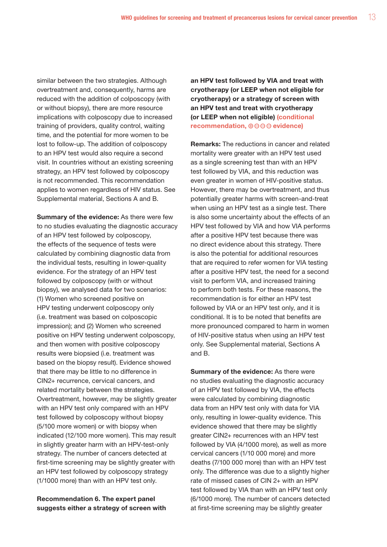similar between the two strategies. Although overtreatment and, consequently, harms are reduced with the addition of colposcopy (with or without biopsy), there are more resource implications with colposcopy due to increased training of providers, quality control, waiting time, and the potential for more women to be lost to follow-up. The addition of colposcopy to an HPV test would also require a second visit. In countries without an existing screening strategy, an HPV test followed by colposcopy is not recommended. This recommendation applies to women regardless of HIV status. See Supplemental material, Sections A and B.

Summary of the evidence: As there were few to no studies evaluating the diagnostic accuracy of an HPV test followed by colposcopy, the effects of the sequence of tests were calculated by combining diagnostic data from the individual tests, resulting in lower-quality evidence. For the strategy of an HPV test followed by colposcopy (with or without biopsy), we analysed data for two scenarios: (1) Women who screened positive on HPV testing underwent colposcopy only (i.e. treatment was based on colposcopic impression); and (2) Women who screened positive on HPV testing underwent colposcopy, and then women with positive colposcopy results were biopsied (i.e. treatment was based on the biopsy result). Evidence showed that there may be little to no difference in CIN2+ recurrence, cervical cancers, and related mortality between the strategies. Overtreatment, however, may be slightly greater with an HPV test only compared with an HPV test followed by colposcopy without biopsy (5/100 more women) or with biopsy when indicated (12/100 more women). This may result in slightly greater harm with an HPV-test-only strategy. The number of cancers detected at first-time screening may be slightly greater with an HPV test followed by colposcopy strategy (1/1000 more) than with an HPV test only.

#### Recommendation 6. The expert panel suggests either a strategy of screen with

an HPV test followed by VIA and treat with cryotherapy (or LEEP when not eligible for cryotherapy) or a strategy of screen with an HPV test and treat with cryotherapy (or LEEP when not eligible) (conditional recommendation,  $\oplus \ominus \ominus \ominus$  evidence)

Remarks: The reductions in cancer and related mortality were greater with an HPV test used as a single screening test than with an HPV test followed by VIA, and this reduction was even greater in women of HIV-positive status. However, there may be overtreatment, and thus potentially greater harms with screen-and-treat when using an HPV test as a single test. There is also some uncertainty about the effects of an HPV test followed by VIA and how VIA performs after a positive HPV test because there was no direct evidence about this strategy. There is also the potential for additional resources that are required to refer women for VIA testing after a positive HPV test, the need for a second visit to perform VIA, and increased training to perform both tests. For these reasons, the recommendation is for either an HPV test followed by VIA or an HPV test only, and it is conditional. It is to be noted that benefits are more pronounced compared to harm in women of HIV-positive status when using an HPV test only. See Supplemental material, Sections A and B.

Summary of the evidence: As there were no studies evaluating the diagnostic accuracy of an HPV test followed by VIA, the effects were calculated by combining diagnostic data from an HPV test only with data for VIA only, resulting in lower-quality evidence. This evidence showed that there may be slightly greater CIN2+ recurrences with an HPV test followed by VIA (4/1000 more), as well as more cervical cancers (1/10 000 more) and more deaths (7/100 000 more) than with an HPV test only. The difference was due to a slightly higher rate of missed cases of CIN 2+ with an HPV test followed by VIA than with an HPV test only (6/1000 more). The number of cancers detected at first-time screening may be slightly greater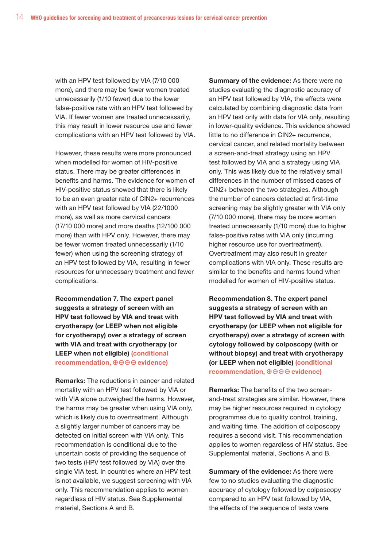with an HPV test followed by VIA (7/10 000 more), and there may be fewer women treated unnecessarily (1/10 fewer) due to the lower false-positive rate with an HPV test followed by VIA. If fewer women are treated unnecessarily, this may result in lower resource use and fewer complications with an HPV test followed by VIA.

However, these results were more pronounced when modelled for women of HIV-positive status. There may be greater differences in benefits and harms. The evidence for women of HIV-positive status showed that there is likely to be an even greater rate of CIN2+ recurrences with an HPV test followed by VIA (22/1000 more), as well as more cervical cancers (17/10 000 more) and more deaths (12/100 000 more) than with HPV only. However, there may be fewer women treated unnecessarily (1/10 fewer) when using the screening strategy of an HPV test followed by VIA, resulting in fewer resources for unnecessary treatment and fewer complications.

Recommendation 7. The expert panel suggests a strategy of screen with an HPV test followed by VIA and treat with cryotherapy (or LEEP when not eligible for cryotherapy) over a strategy of screen with VIA and treat with cryotherapy (or LEEP when not eligible) (conditional recommendation,  $\oplus \ominus \ominus \ominus$  evidence)

Remarks: The reductions in cancer and related mortality with an HPV test followed by VIA or with VIA alone outweighed the harms. However, the harms may be greater when using VIA only, which is likely due to overtreatment. Although a slightly larger number of cancers may be detected on initial screen with VIA only. This recommendation is conditional due to the uncertain costs of providing the sequence of two tests (HPV test followed by VIA) over the single VIA test. In countries where an HPV test is not available, we suggest screening with VIA only. This recommendation applies to women regardless of HIV status. See Supplemental material, Sections A and B.

Summary of the evidence: As there were no studies evaluating the diagnostic accuracy of an HPV test followed by VIA, the effects were calculated by combining diagnostic data from an HPV test only with data for VIA only, resulting in lower-quality evidence. This evidence showed little to no difference in CIN2+ recurrence, cervical cancer, and related mortality between a screen-and-treat strategy using an HPV test followed by VIA and a strategy using VIA only. This was likely due to the relatively small differences in the number of missed cases of CIN2+ between the two strategies. Although the number of cancers detected at first-time screening may be slightly greater with VIA only (7/10 000 more), there may be more women treated unnecessarily (1/10 more) due to higher false-positive rates with VIA only (incurring higher resource use for overtreatment). Overtreatment may also result in greater complications with VIA only. These results are similar to the benefits and harms found when modelled for women of HIV-positive status.

Recommendation 8. The expert panel suggests a strategy of screen with an HPV test followed by VIA and treat with cryotherapy (or LEEP when not eligible for cryotherapy) over a strategy of screen with cytology followed by colposcopy (with or without biopsy) and treat with cryotherapy (or LEEP when not eligible) (conditional recommendation,  $\oplus \ominus \ominus \ominus$  evidence)

Remarks: The benefits of the two screenand-treat strategies are similar. However, there may be higher resources required in cytology programmes due to quality control, training, and waiting time. The addition of colposcopy requires a second visit. This recommendation applies to women regardless of HIV status. See Supplemental material, Sections A and B.

Summary of the evidence: As there were few to no studies evaluating the diagnostic accuracy of cytology followed by colposcopy compared to an HPV test followed by VIA, the effects of the sequence of tests were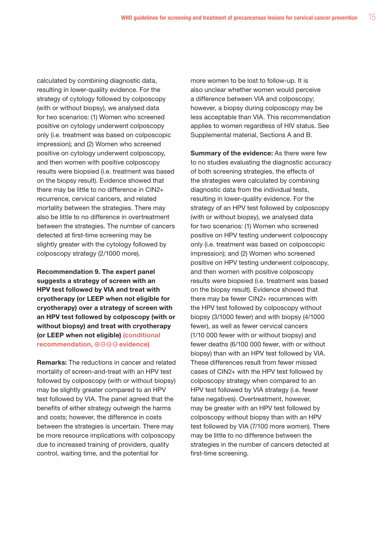calculated by combining diagnostic data, resulting in lower-quality evidence. For the strategy of cytology followed by colposcopy (with or without biopsy), we analysed data for two scenarios: (1) Women who screened positive on cytology underwent colposcopy only (i.e. treatment was based on colposcopic impression); and (2) Women who screened positive on cytology underwent colposcopy, and then women with positive colposcopy results were biopsied (i.e. treatment was based on the biopsy result). Evidence showed that there may be little to no difference in CIN2+ recurrence, cervical cancers, and related mortality between the strategies. There may also be little to no difference in overtreatment between the strategies. The number of cancers detected at first-time screening may be slightly greater with the cytology followed by colposcopy strategy (2/1000 more).

Recommendation 9. The expert panel suggests a strategy of screen with an HPV test followed by VIA and treat with cryotherapy (or LEEP when not eligible for cryotherapy) over a strategy of screen with an HPV test followed by colposcopy (with or without biopsy) and treat with cryotherapy (or LEEP when not eligible) (conditional recommendation,  $\oplus \ominus \ominus \ominus$  evidence)

Remarks: The reductions in cancer and related mortality of screen-and-treat with an HPV test followed by colposcopy (with or without biopsy) may be slightly greater compared to an HPV test followed by VIA. The panel agreed that the benefits of either strategy outweigh the harms and costs; however, the difference in costs between the strategies is uncertain. There may be more resource implications with colposcopy due to increased training of providers, quality control, waiting time, and the potential for

more women to be lost to follow-up. It is also unclear whether women would perceive a difference between VIA and colposcopy; however, a biopsy during colposcopy may be less acceptable than VIA. This recommendation applies to women regardless of HIV status. See Supplemental material, Sections A and B.

Summary of the evidence: As there were few to no studies evaluating the diagnostic accuracy of both screening strategies, the effects of the strategies were calculated by combining diagnostic data from the individual tests, resulting in lower-quality evidence. For the strategy of an HPV test followed by colposcopy (with or without biopsy), we analysed data for two scenarios: (1) Women who screened positive on HPV testing underwent colposcopy only (i.e. treatment was based on colposcopic impression); and (2) Women who screened positive on HPV testing underwent colposcopy, and then women with positive colposcopy results were biopsied (i.e. treatment was based on the biopsy result). Evidence showed that there may be fewer CIN2+ recurrences with the HPV test followed by colposcopy without biopsy (3/1000 fewer) and with biopsy (4/1000 fewer), as well as fewer cervical cancers (1/10 000 fewer with or without biopsy) and fewer deaths (6/100 000 fewer, with or without biopsy) than with an HPV test followed by VIA. These differences result from fewer missed cases of CIN2+ with the HPV test followed by colposcopy strategy when compared to an HPV test followed by VIA strategy (i.e. fewer false negatives). Overtreatment, however, may be greater with an HPV test followed by colposcopy without biopsy than with an HPV test followed by VIA (7/100 more women). There may be little to no difference between the strategies in the number of cancers detected at first-time screening.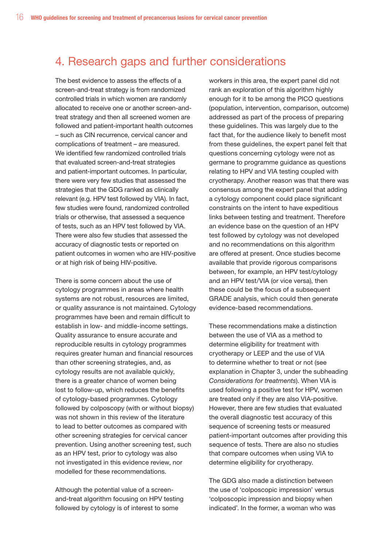## 4. Research gaps and further considerations

The best evidence to assess the effects of a screen-and-treat strategy is from randomized controlled trials in which women are randomly allocated to receive one or another screen-andtreat strategy and then all screened women are followed and patient-important health outcomes – such as CIN recurrence, cervical cancer and complications of treatment – are measured. We identified few randomized controlled trials that evaluated screen-and-treat strategies and patient-important outcomes. In particular, there were very few studies that assessed the strategies that the GDG ranked as clinically relevant (e.g. HPV test followed by VIA). In fact, few studies were found, randomized controlled trials or otherwise, that assessed a sequence of tests, such as an HPV test followed by VIA. There were also few studies that assessed the accuracy of diagnostic tests or reported on patient outcomes in women who are HIV-positive or at high risk of being HIV-positive.

There is some concern about the use of cytology programmes in areas where health systems are not robust, resources are limited, or quality assurance is not maintained. Cytology programmes have been and remain difficult to establish in low- and middle-income settings. Quality assurance to ensure accurate and reproducible results in cytology programmes requires greater human and financial resources than other screening strategies, and, as cytology results are not available quickly, there is a greater chance of women being lost to follow-up, which reduces the benefits of cytology-based programmes. Cytology followed by colposcopy (with or without biopsy) was not shown in this review of the literature to lead to better outcomes as compared with other screening strategies for cervical cancer prevention. Using another screening test, such as an HPV test, prior to cytology was also not investigated in this evidence review, nor modelled for these recommendations.

Although the potential value of a screenand-treat algorithm focusing on HPV testing followed by cytology is of interest to some

workers in this area, the expert panel did not rank an exploration of this algorithm highly enough for it to be among the PICO questions (population, intervention, comparison, outcome) addressed as part of the process of preparing these guidelines. This was largely due to the fact that, for the audience likely to benefit most from these guidelines, the expert panel felt that questions concerning cytology were not as germane to programme guidance as questions relating to HPV and VIA testing coupled with cryotherapy. Another reason was that there was consensus among the expert panel that adding a cytology component could place significant constraints on the intent to have expeditious links between testing and treatment. Therefore an evidence base on the question of an HPV test followed by cytology was not developed and no recommendations on this algorithm are offered at present. Once studies become available that provide rigorous comparisons between, for example, an HPV test/cytology and an HPV test/VIA (or vice versa), then these could be the focus of a subsequent GRADE analysis, which could then generate evidence-based recommendations.

These recommendations make a distinction between the use of VIA as a method to determine eligibility for treatment with cryotherapy or LEEP and the use of VIA to determine whether to treat or not (see explanation in Chapter 3, under the subheading *Considerations for treatments*). When VIA is used following a positive test for HPV, women are treated only if they are also VIA-positive. However, there are few studies that evaluated the overall diagnostic test accuracy of this sequence of screening tests or measured patient-important outcomes after providing this sequence of tests. There are also no studies that compare outcomes when using VIA to determine eligibility for cryotherapy.

The GDG also made a distinction between the use of 'colposcopic impression' versus 'colposcopic impression and biopsy when indicated'. In the former, a woman who was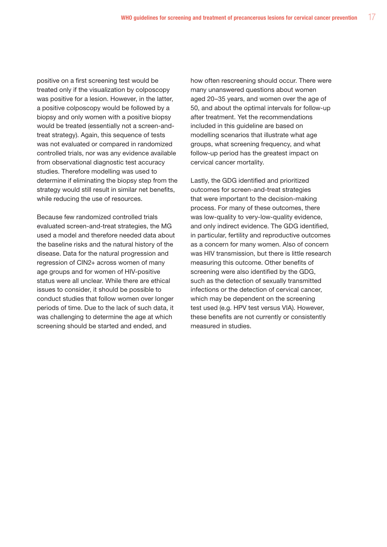positive on a first screening test would be treated only if the visualization by colposcopy was positive for a lesion. However, in the latter, a positive colposcopy would be followed by a biopsy and only women with a positive biopsy would be treated (essentially not a screen-andtreat strategy). Again, this sequence of tests was not evaluated or compared in randomized controlled trials, nor was any evidence available from observational diagnostic test accuracy studies. Therefore modelling was used to determine if eliminating the biopsy step from the strategy would still result in similar net benefits, while reducing the use of resources.

Because few randomized controlled trials evaluated screen-and-treat strategies, the MG used a model and therefore needed data about the baseline risks and the natural history of the disease. Data for the natural progression and regression of CIN2+ across women of many age groups and for women of HIV-positive status were all unclear. While there are ethical issues to consider, it should be possible to conduct studies that follow women over longer periods of time. Due to the lack of such data, it was challenging to determine the age at which screening should be started and ended, and

how often rescreening should occur. There were many unanswered questions about women aged 20–35 years, and women over the age of 50, and about the optimal intervals for follow-up after treatment. Yet the recommendations included in this guideline are based on modelling scenarios that illustrate what age groups, what screening frequency, and what follow-up period has the greatest impact on cervical cancer mortality.

Lastly, the GDG identified and prioritized outcomes for screen-and-treat strategies that were important to the decision-making process. For many of these outcomes, there was low-quality to very-low-quality evidence, and only indirect evidence. The GDG identified, in particular, fertility and reproductive outcomes as a concern for many women. Also of concern was HIV transmission, but there is little research measuring this outcome. Other benefits of screening were also identified by the GDG, such as the detection of sexually transmitted infections or the detection of cervical cancer, which may be dependent on the screening test used (e.g. HPV test versus VIA). However, these benefits are not currently or consistently measured in studies.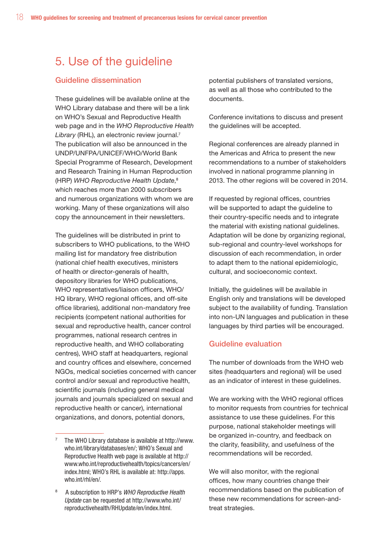## 5. Use of the guideline

#### Guideline dissemination

These guidelines will be available online at the WHO Library database and there will be a link on WHO's Sexual and Reproductive Health web page and in the *WHO Reproductive Health Library* (RHL), an electronic review journal.7 The publication will also be announced in the UNDP/UNFPA/UNICEF/WHO/World Bank Special Programme of Research, Development and Research Training in Human Reproduction (HRP) *WHO Reproductive Health Update*, 8 which reaches more than 2000 subscribers and numerous organizations with whom we are working. Many of these organizations will also copy the announcement in their newsletters.

The guidelines will be distributed in print to subscribers to WHO publications, to the WHO mailing list for mandatory free distribution (national chief health executives, ministers of health or director-generals of health, depository libraries for WHO publications, WHO representatives/liaison officers, WHO/ HQ library, WHO regional offices, and off-site office libraries), additional non-mandatory free recipients (competent national authorities for sexual and reproductive health, cancer control programmes, national research centres in reproductive health, and WHO collaborating centres), WHO staff at headquarters, regional and country offices and elsewhere, concerned NGOs, medical societies concerned with cancer control and/or sexual and reproductive health, scientific journals (including general medical journals and journals specialized on sexual and reproductive health or cancer), international organizations, and donors, potential donors,

potential publishers of translated versions, as well as all those who contributed to the documents.

Conference invitations to discuss and present the guidelines will be accepted.

Regional conferences are already planned in the Americas and Africa to present the new recommendations to a number of stakeholders involved in national programme planning in 2013. The other regions will be covered in 2014.

If requested by regional offices, countries will be supported to adapt the guideline to their country-specific needs and to integrate the material with existing national guidelines. Adaptation will be done by organizing regional, sub-regional and country-level workshops for discussion of each recommendation, in order to adapt them to the national epidemiologic, cultural, and socioeconomic context.

Initially, the guidelines will be available in English only and translations will be developed subject to the availability of funding. Translation into non-UN languages and publication in these languages by third parties will be encouraged.

#### Guideline evaluation

The number of downloads from the WHO web sites (headquarters and regional) will be used as an indicator of interest in these guidelines.

We are working with the WHO regional offices to monitor requests from countries for technical assistance to use these guidelines. For this purpose, national stakeholder meetings will be organized in-country, and feedback on the clarity, feasibility, and usefulness of the recommendations will be recorded.

We will also monitor, with the regional offices, how many countries change their recommendations based on the publication of these new recommendations for screen-andtreat strategies.

<sup>7</sup> The WHO Library database is available at http://www. who.int/library/databases/en/; WHO's Sexual and Reproductive Health web page is available at http:// www.who.int/reproductivehealth/topics/cancers/en/ index.html; WHO's RHL is available at: http://apps. who.int/rhl/en/.

<sup>8</sup> A subscription to HRP's *WHO Reproductive Health Update* can be requested at http://www.who.int/ reproductivehealth/RHUpdate/en/index.html.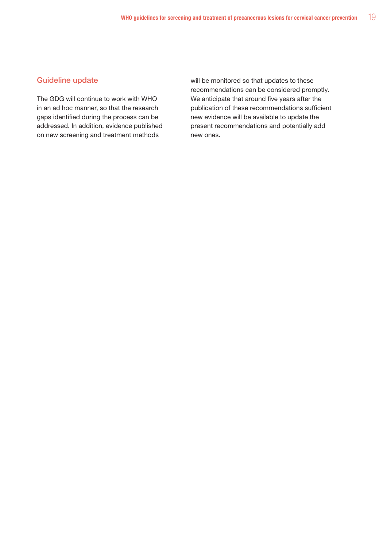#### Guideline update

The GDG will continue to work with WHO in an ad hoc manner, so that the research gaps identified during the process can be addressed. In addition, evidence published on new screening and treatment methods

will be monitored so that updates to these recommendations can be considered promptly. We anticipate that around five years after the publication of these recommendations sufficient new evidence will be available to update the present recommendations and potentially add new ones.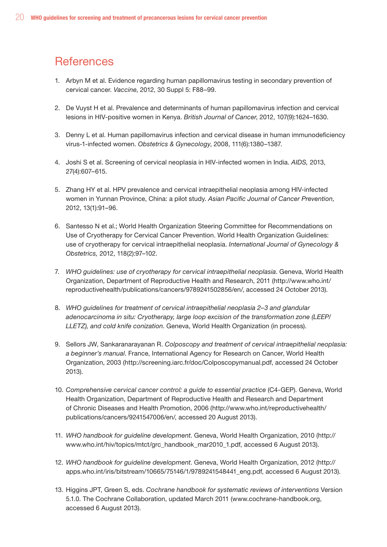## **References**

- 1. Arbyn M et al. Evidence regarding human papillomavirus testing in secondary prevention of cervical cancer. *Vaccine*, 2012, 30 Suppl 5: F88–99.
- 2. De Vuyst H et al. Prevalence and determinants of human papillomavirus infection and cervical lesions in HIV-positive women in Kenya. *British Journal of Cancer*, 2012, 107(9):1624–1630.
- 3. Denny L et al. Human papillomavirus infection and cervical disease in human immunodeficiency virus-1-infected women. *Obstetrics & Gynecology*, 2008, 111(6):1380–1387.
- 4. Joshi S et al. Screening of cervical neoplasia in HIV-infected women in India. *AIDS,* 2013, 27(4):607–615.
- 5. Zhang HY et al. HPV prevalence and cervical intraepithelial neoplasia among HIV-infected women in Yunnan Province, China: a pilot study. *Asian Pacific Journal of Cancer Prevention*, 2012, 13(1):91–96.
- 6. Santesso N et al.; World Health Organization Steering Committee for Recommendations on Use of Cryotherapy for Cervical Cancer Prevention. World Health Organization Guidelines: use of cryotherapy for cervical intraepithelial neoplasia. *International Journal of Gynecology & Obstetrics,* 2012, 118(2):97–102.
- 7. *WHO guidelines: use of cryotherapy for cervical intraepithelial neoplasia*. Geneva, World Health Organization, Department of Reproductive Health and Research, 2011 (http://www.who.int/ reproductivehealth/publications/cancers/9789241502856/en/, accessed 24 October 2013).
- 8. *WHO guidelines for treatment of cervical intraepithelial neoplasia 2–3 and glandular adenocarcinoma in situ: Cryotherapy, large loop excision of the transformation zone (LEEP/ LLETZ), and cold knife conization*. Geneva, World Health Organization (in process).
- 9. Sellors JW, Sankaranarayanan R. *Colposcopy and treatment of cervical intraepithelial neoplasia: a beginner's manual*. France, International Agency for Research on Cancer, World Health Organization, 2003 (http://screening.iarc.fr/doc/Colposcopymanual.pdf, accessed 24 October 2013).
- 10. *Comprehensive cervical cancer control: a guide to essential practice* (C4-GEP). Geneva, World Health Organization, Department of Reproductive Health and Research and Department of Chronic Diseases and Health Promotion, 2006 (http://www.who.int/reproductivehealth/ publications/cancers/9241547006/en/, accessed 20 August 2013).
- 11. *WHO handbook for guideline development*. Geneva, World Health Organization, 2010 (http:// www.who.int/hiv/topics/mtct/grc\_handbook\_mar2010\_1.pdf, accessed 6 August 2013).
- 12. *WHO handbook for guideline development*. Geneva, World Health Organization, 2012 (http:// apps.who.int/iris/bitstream/10665/75146/1/9789241548441\_eng.pdf, accessed 6 August 2013).
- 13. Higgins JPT, Green S, eds. *Cochrane handbook for systematic reviews of interventions* Version 5.1.0. The Cochrane Collaboration, updated March 2011 (www.cochrane-handbook.org, accessed 6 August 2013).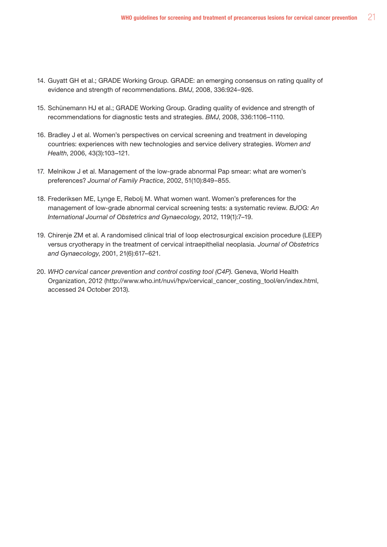- 14. Guyatt GH et al.; GRADE Working Group. GRADE: an emerging consensus on rating quality of evidence and strength of recommendations. *BMJ*, 2008, 336:924–926.
- 15. Schünemann HJ et al.; GRADE Working Group. Grading quality of evidence and strength of recommendations for diagnostic tests and strategies. *BMJ*, 2008, 336:1106–1110.
- 16. Bradley J et al. Women's perspectives on cervical screening and treatment in developing countries: experiences with new technologies and service delivery strategies. *Women and Health*, 2006, 43(3):103–121.
- 17. Melnikow J et al. Management of the low-grade abnormal Pap smear: what are women's preferences? *Journal of Family Practice*, 2002, 51(10):849–855.
- 18. Frederiksen ME, Lynge E, Rebolj M. What women want. Women's preferences for the management of low-grade abnormal cervical screening tests: a systematic review. *BJOG: An International Journal of Obstetrics and Gynaecology*, 2012, 119(1):7–19.
- 19. Chirenje ZM et al. A randomised clinical trial of loop electrosurgical excision procedure (LEEP) versus cryotherapy in the treatment of cervical intraepithelial neoplasia. *Journal of Obstetrics and Gynaecology*, 2001, 21(6):617–621.
- 20. *WHO cervical cancer prevention and control costing tool (C4P)*. Geneva, World Health Organization, 2012 (http://www.who.int/nuvi/hpv/cervical\_cancer\_costing\_tool/en/index.html, accessed 24 October 2013).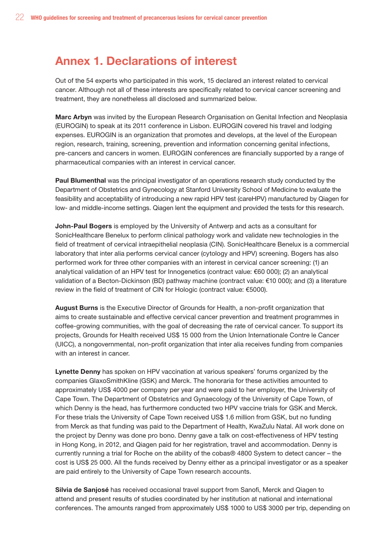## Annex 1. Declarations of interest

Out of the 54 experts who participated in this work, 15 declared an interest related to cervical cancer. Although not all of these interests are specifically related to cervical cancer screening and treatment, they are nonetheless all disclosed and summarized below.

Marc Arbyn was invited by the European Research Organisation on Genital Infection and Neoplasia (EUROGIN) to speak at its 2011 conference in Lisbon. EUROGIN covered his travel and lodging expenses. EUROGIN is an organization that promotes and develops, at the level of the European region, research, training, screening, prevention and information concerning genital infections, pre-cancers and cancers in women. EUROGIN conferences are financially supported by a range of pharmaceutical companies with an interest in cervical cancer.

Paul Blumenthal was the principal investigator of an operations research study conducted by the Department of Obstetrics and Gynecology at Stanford University School of Medicine to evaluate the feasibility and acceptability of introducing a new rapid HPV test (careHPV) manufactured by Qiagen for low- and middle-income settings. Qiagen lent the equipment and provided the tests for this research.

John-Paul Bogers is employed by the University of Antwerp and acts as a consultant for SonicHealthcare Benelux to perform clinical pathology work and validate new technologies in the field of treatment of cervical intraepithelial neoplasia (CIN). SonicHealthcare Benelux is a commercial laboratory that inter alia performs cervical cancer (cytology and HPV) screening. Bogers has also performed work for three other companies with an interest in cervical cancer screening: (1) an analytical validation of an HPV test for Innogenetics (contract value: €60 000); (2) an analytical validation of a Becton-Dickinson (BD) pathway machine (contract value: €10 000); and (3) a literature review in the field of treatment of CIN for Hologic (contract value: €5000).

August Burns is the Executive Director of Grounds for Health, a non-profit organization that aims to create sustainable and effective cervical cancer prevention and treatment programmes in coffee-growing communities, with the goal of decreasing the rate of cervical cancer. To support its projects, Grounds for Health received US\$ 15 000 from the Union Internationale Contre le Cancer (UICC), a nongovernmental, non-profit organization that inter alia receives funding from companies with an interest in cancer.

Lynette Denny has spoken on HPV vaccination at various speakers' forums organized by the companies GlaxoSmithKline (GSK) and Merck. The honoraria for these activities amounted to approximately US\$ 4000 per company per year and were paid to her employer, the University of Cape Town. The Department of Obstetrics and Gynaecology of the University of Cape Town, of which Denny is the head, has furthermore conducted two HPV vaccine trials for GSK and Merck. For these trials the University of Cape Town received US\$ 1.6 million from GSK, but no funding from Merck as that funding was paid to the Department of Health, KwaZulu Natal. All work done on the project by Denny was done pro bono. Denny gave a talk on cost-effectiveness of HPV testing in Hong Kong, in 2012, and Qiagen paid for her registration, travel and accommodation. Denny is currently running a trial for Roche on the ability of the cobas® 4800 System to detect cancer – the cost is US\$ 25 000. All the funds received by Denny either as a principal investigator or as a speaker are paid entirely to the University of Cape Town research accounts.

Silvia de Sanjosé has received occasional travel support from Sanofi, Merck and Qiagen to attend and present results of studies coordinated by her institution at national and international conferences. The amounts ranged from approximately US\$ 1000 to US\$ 3000 per trip, depending on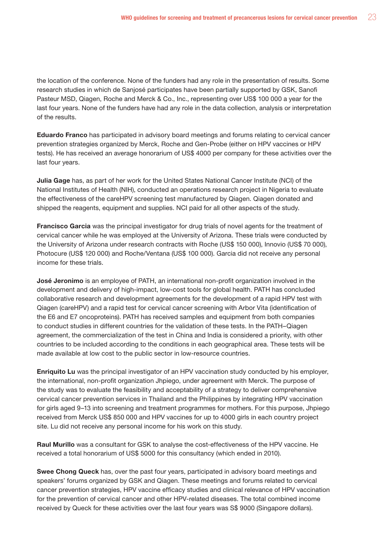the location of the conference. None of the funders had any role in the presentation of results. Some research studies in which de Sanjosé participates have been partially supported by GSK, Sanofi Pasteur MSD, Qiagen, Roche and Merck & Co., Inc., representing over US\$ 100 000 a year for the last four years. None of the funders have had any role in the data collection, analysis or interpretation of the results.

Eduardo Franco has participated in advisory board meetings and forums relating to cervical cancer prevention strategies organized by Merck, Roche and Gen-Probe (either on HPV vaccines or HPV tests). He has received an average honorarium of US\$ 4000 per company for these activities over the last four years.

Julia Gage has, as part of her work for the United States National Cancer Institute (NCI) of the National Institutes of Health (NIH), conducted an operations research project in Nigeria to evaluate the effectiveness of the careHPV screening test manufactured by Qiagen. Qiagen donated and shipped the reagents, equipment and supplies. NCI paid for all other aspects of the study.

Francisco Garcia was the principal investigator for drug trials of novel agents for the treatment of cervical cancer while he was employed at the University of Arizona. These trials were conducted by the University of Arizona under research contracts with Roche (US\$ 150 000), Innovio (US\$ 70 000), Photocure (US\$ 120 000) and Roche/Ventana (US\$ 100 000). Garcia did not receive any personal income for these trials.

José Jeronimo is an employee of PATH, an international non-profit organization involved in the development and delivery of high-impact, low-cost tools for global health. PATH has concluded collaborative research and development agreements for the development of a rapid HPV test with Qiagen (careHPV) and a rapid test for cervical cancer screening with Arbor Vita (identification of the E6 and E7 oncoproteins). PATH has received samples and equipment from both companies to conduct studies in different countries for the validation of these tests. In the PATH–Qiagen agreement, the commercialization of the test in China and India is considered a priority, with other countries to be included according to the conditions in each geographical area. These tests will be made available at low cost to the public sector in low-resource countries.

Enriquito Lu was the principal investigator of an HPV vaccination study conducted by his employer, the international, non-profit organization Jhpiego, under agreement with Merck. The purpose of the study was to evaluate the feasibility and acceptability of a strategy to deliver comprehensive cervical cancer prevention services in Thailand and the Philippines by integrating HPV vaccination for girls aged 9–13 into screening and treatment programmes for mothers. For this purpose, Jhpiego received from Merck US\$ 850 000 and HPV vaccines for up to 4000 girls in each country project site. Lu did not receive any personal income for his work on this study.

Raul Murillo was a consultant for GSK to analyse the cost-effectiveness of the HPV vaccine. He received a total honorarium of US\$ 5000 for this consultancy (which ended in 2010).

Swee Chong Queck has, over the past four years, participated in advisory board meetings and speakers' forums organized by GSK and Qiagen. These meetings and forums related to cervical cancer prevention strategies, HPV vaccine efficacy studies and clinical relevance of HPV vaccination for the prevention of cervical cancer and other HPV-related diseases. The total combined income received by Queck for these activities over the last four years was S\$ 9000 (Singapore dollars).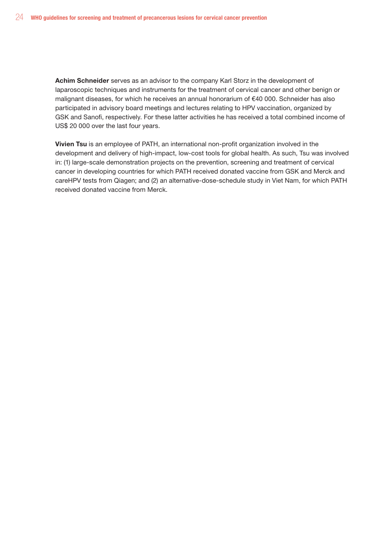Achim Schneider serves as an advisor to the company Karl Storz in the development of laparoscopic techniques and instruments for the treatment of cervical cancer and other benign or malignant diseases, for which he receives an annual honorarium of €40 000. Schneider has also participated in advisory board meetings and lectures relating to HPV vaccination, organized by GSK and Sanofi, respectively. For these latter activities he has received a total combined income of US\$ 20 000 over the last four years.

Vivien Tsu is an employee of PATH, an international non-profit organization involved in the development and delivery of high-impact, low-cost tools for global health. As such, Tsu was involved in: (1) large-scale demonstration projects on the prevention, screening and treatment of cervical cancer in developing countries for which PATH received donated vaccine from GSK and Merck and careHPV tests from Qiagen; and (2) an alternative-dose-schedule study in Viet Nam, for which PATH received donated vaccine from Merck.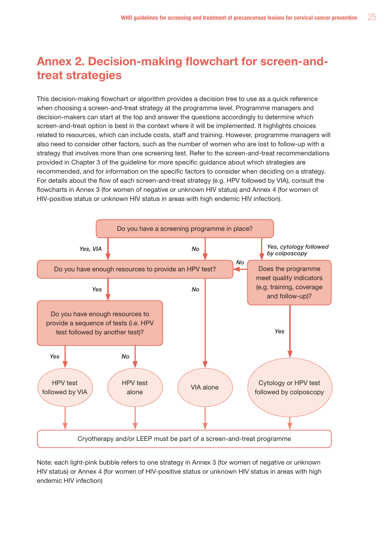## Annex 2. Decision-making flowchart for screen-andtreat strategies

This decision-making flowchart or algorithm provides a decision tree to use as a quick reference when choosing a screen-and-treat strategy at the programme level. Programme managers and decision-makers can start at the top and answer the questions accordingly to determine which screen-and-treat option is best in the context where it will be implemented. It highlights choices related to resources, which can include costs, staff and training. However, programme managers will also need to consider other factors, such as the number of women who are lost to follow-up with a strategy that involves more than one screening test. Refer to the screen-and-treat recommendations provided in Chapter 3 of the guideline for more specific guidance about which strategies are recommended, and for information on the specific factors to consider when deciding on a strategy. For details about the flow of each screen-and-treat strategy (e.g. HPV followed by VIA), consult the flowcharts in Annex 3 (for women of negative or unknown HIV status) and Annex 4 (for women of HIV-positive status or unknown HIV status in areas with high endemic HIV infection).



Note: each light-pink bubble refers to one strategy in Annex 3 (for women of negative or unknown HIV status) or Annex 4 (for women of HIV-positive status or unknown HIV status in areas with high endemic HIV infection)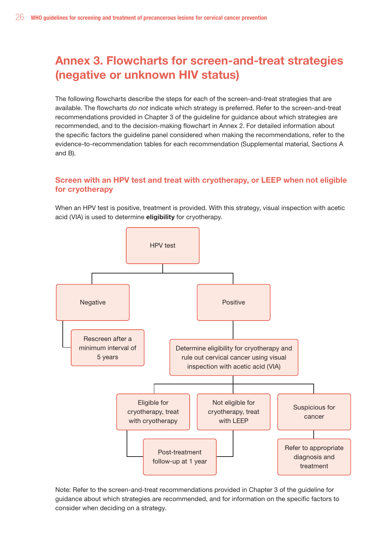## Annex 3. Flowcharts for screen-and-treat strategies (negative or unknown HIV status)

The following flowcharts describe the steps for each of the screen-and-treat strategies that are available. The flowcharts *do not* indicate which strategy is preferred. Refer to the screen-and-treat recommendations provided in Chapter 3 of the guideline for guidance about which strategies are recommended, and to the decision-making flowchart in Annex 2. For detailed information about the specific factors the guideline panel considered when making the recommendations, refer to the evidence-to-recommendation tables for each recommendation (Supplemental material, Sections A and B).

## Screen with an HPV test and treat with cryotherapy, or LEEP when not eligible for cryotherapy

When an HPV test is positive, treatment is provided. With this strategy, visual inspection with acetic acid (VIA) is used to determine eligibility for cryotherapy.



Note: Refer to the screen-and-treat recommendations provided in Chapter 3 of the guideline for guidance about which strategies are recommended, and for information on the specific factors to consider when deciding on a strategy.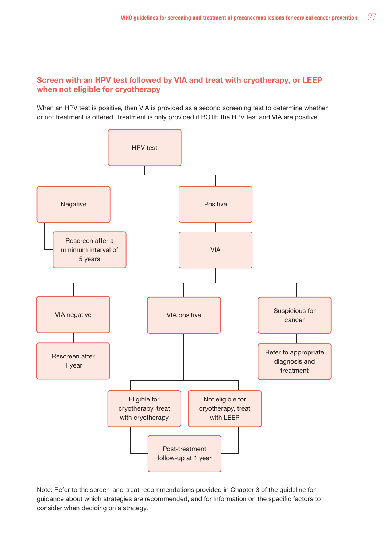## Screen with an HPV test followed by VIA and treat with cryotherapy, or LEEP when not eligible for cryotherapy

When an HPV test is positive, then VIA is provided as a second screening test to determine whether or not treatment is offered. Treatment is only provided if BOTH the HPV test and VIA are positive.



Note: Refer to the screen-and-treat recommendations provided in Chapter 3 of the guideline for guidance about which strategies are recommended, and for information on the specific factors to consider when deciding on a strategy.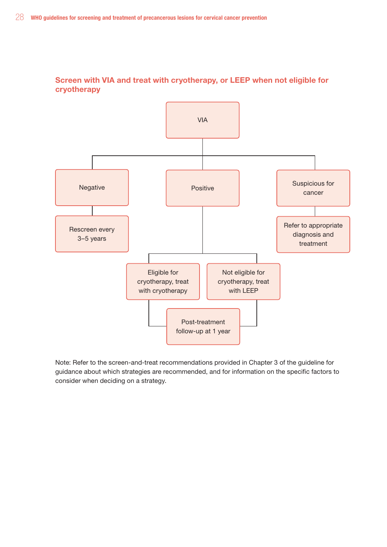Screen with VIA and treat with cryotherapy, or LEEP when not eligible for cryotherapy

![](_page_45_Figure_2.jpeg)

Note: Refer to the screen-and-treat recommendations provided in Chapter 3 of the guideline for guidance about which strategies are recommended, and for information on the specific factors to consider when deciding on a strategy.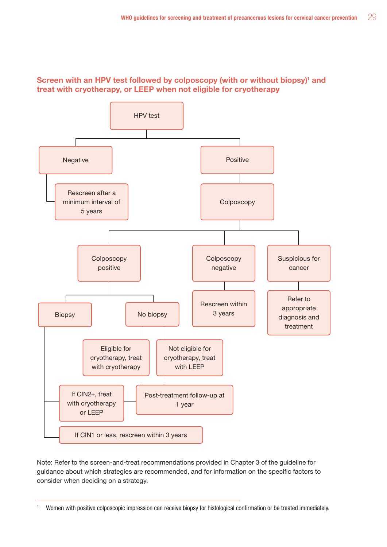## Screen with an HPV test followed by colposcopy (with or without biopsy)<sup>1</sup> and treat with cryotherapy, or LEEP when not eligible for cryotherapy

![](_page_46_Figure_2.jpeg)

Note: Refer to the screen-and-treat recommendations provided in Chapter 3 of the guideline for guidance about which strategies are recommended, and for information on the specific factors to consider when deciding on a strategy.

<sup>1</sup> Women with positive colposcopic impression can receive biopsy for histological confirmation or be treated immediately.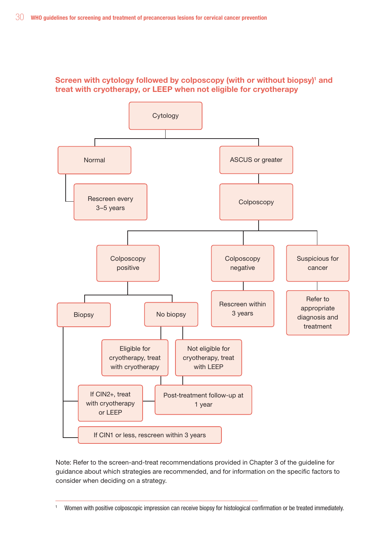![](_page_47_Figure_1.jpeg)

## Screen with cytology followed by colposcopy (with or without biopsy)<sup>1</sup> and treat with cryotherapy, or LEEP when not eligible for cryotherapy

Note: Refer to the screen-and-treat recommendations provided in Chapter 3 of the guideline for guidance about which strategies are recommended, and for information on the specific factors to consider when deciding on a strategy.

<sup>1</sup> Women with positive colposcopic impression can receive biopsy for histological confirmation or be treated immediately.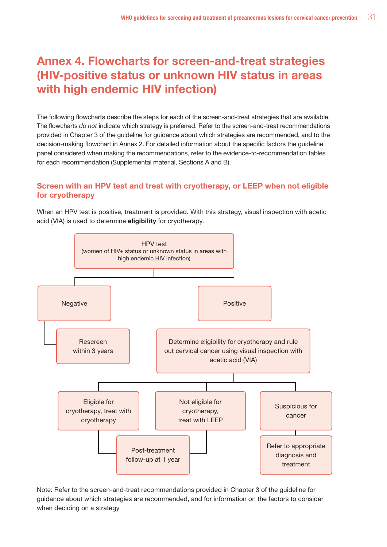## Annex 4. Flowcharts for screen-and-treat strategies (HIV-positive status or unknown HIV status in areas with high endemic HIV infection)

The following flowcharts describe the steps for each of the screen-and-treat strategies that are available. The flowcharts *do not* indicate which strategy is preferred. Refer to the screen-and-treat recommendations provided in Chapter 3 of the guideline for guidance about which strategies are recommended, and to the decision-making flowchart in Annex 2. For detailed information about the specific factors the guideline panel considered when making the recommendations, refer to the evidence-to-recommendation tables for each recommendation (Supplemental material, Sections A and B).

## Screen with an HPV test and treat with cryotherapy, or LEEP when not eligible for cryotherapy

When an HPV test is positive, treatment is provided. With this strategy, visual inspection with acetic acid (VIA) is used to determine eligibility for cryotherapy.

![](_page_48_Figure_5.jpeg)

Note: Refer to the screen-and-treat recommendations provided in Chapter 3 of the guideline for guidance about which strategies are recommended, and for information on the factors to consider when deciding on a strategy.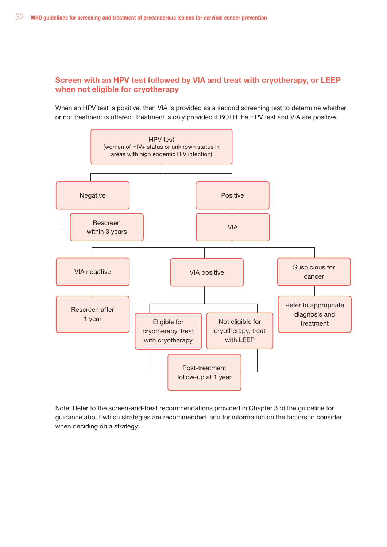### Screen with an HPV test followed by VIA and treat with cryotherapy, or LEEP when not eligible for cryotherapy

When an HPV test is positive, then VIA is provided as a second screening test to determine whether or not treatment is offered. Treatment is only provided if BOTH the HPV test and VIA are positive.

![](_page_49_Figure_3.jpeg)

Note: Refer to the screen-and-treat recommendations provided in Chapter 3 of the guideline for guidance about which strategies are recommended, and for information on the factors to consider when deciding on a strategy.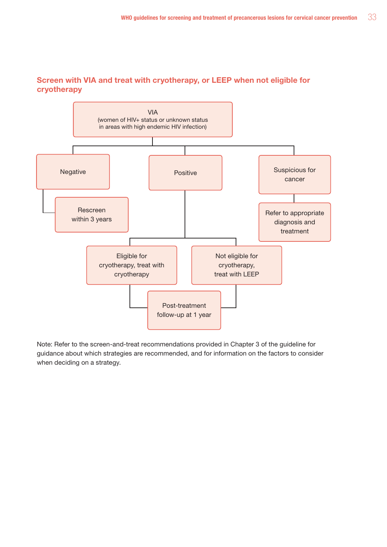![](_page_50_Figure_1.jpeg)

## Screen with VIA and treat with cryotherapy, or LEEP when not eligible for cryotherapy

Note: Refer to the screen-and-treat recommendations provided in Chapter 3 of the guideline for guidance about which strategies are recommended, and for information on the factors to consider when deciding on a strategy.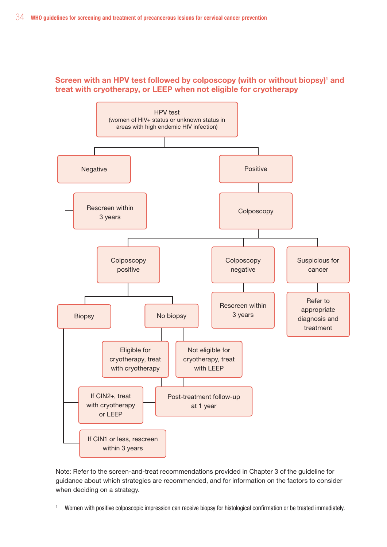## Screen with an HPV test followed by colposcopy (with or without biopsy)<sup>1</sup> and treat with cryotherapy, or LEEP when not eligible for cryotherapy

![](_page_51_Figure_2.jpeg)

Note: Refer to the screen-and-treat recommendations provided in Chapter 3 of the guideline for guidance about which strategies are recommended, and for information on the factors to consider when deciding on a strategy.

<sup>1</sup> Women with positive colposcopic impression can receive biopsy for histological confirmation or be treated immediately.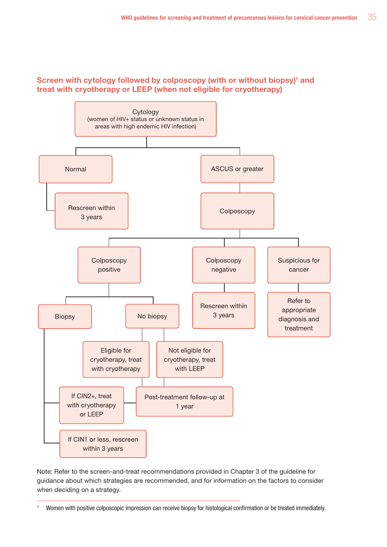## Screen with cytology followed by colposcopy (with or without biopsy)<sup>1</sup> and treat with cryotherapy or LEEP (when not eligible for cryotherapy)

![](_page_52_Figure_2.jpeg)

Note: Refer to the screen-and-treat recommendations provided in Chapter 3 of the guideline for guidance about which strategies are recommended, and for information on the factors to consider when deciding on a strategy.

<sup>1</sup> Women with positive colposcopic impression can receive biopsy for histological confirmation or be treated immediately.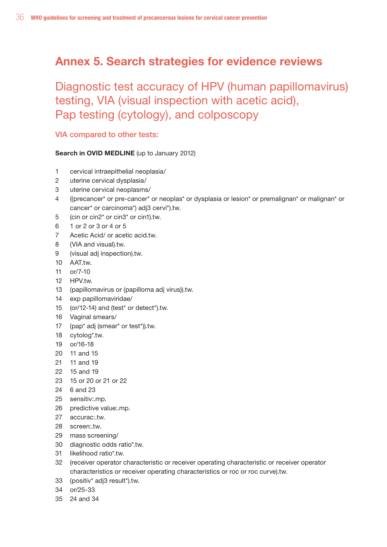## Annex 5. Search strategies for evidence reviews

Diagnostic test accuracy of HPV (human papillomavirus) testing, VIA (visual inspection with acetic acid), Pap testing (cytology), and colposcopy

## VIA compared to other tests:

### Search in OVID MEDLINE (up to January 2012)

- 1 cervical intraepithelial neoplasia/
- 2 uterine cervical dysplasia/
- 3 uterine cervical neoplasms/
- 4 ((precancer\* or pre-cancer\* or neoplas\* or dysplasia or lesion\* or premalignan\* or malignan\* or cancer\* or carcinoma\*) adj3 cervi\*).tw.
- 5 (cin or cin2\* or cin3\* or cin1).tw.
- 6 1 or 2 or 3 or 4 or 5
- 7 Acetic Acid/ or acetic acid.tw.
- 8 (VIA and visual).tw.
- 9 (visual adj inspection).tw.
- 10 AAT.tw.
- 11 or/7-10
- 12 HPV.tw.
- 13 (papillomavirus or (papilloma adj virus)).tw.
- 14 exp papillomaviridae/
- 15 (or/12-14) and (test\* or detect\*).tw.
- 16 Vaginal smears/
- 17 (pap\* adj (smear\* or test\*)).tw.
- 18 cytolog\*.tw.
- 19 or/16-18
- 20 11 and 15
- 21 11 and 19
- 22 15 and 19
- 23 15 or 20 or 21 or 22
- 24 6 and 23
- 25 sensitiv:.mp.
- 26 predictive value:.mp.
- 27 accurac:.tw.
- 28 screen:.tw.
- 29 mass screening/
- 30 diagnostic odds ratio\*.tw.
- 31 likelihood ratio\*.tw.
- 32 (receiver operator characteristic or receiver operating characteristic or receiver operator characteristics or receiver operating characteristics or roc or roc curve).tw.
- 33 (positiv\* adj3 result\*).tw.
- 34 or/25-33
- 35 24 and 34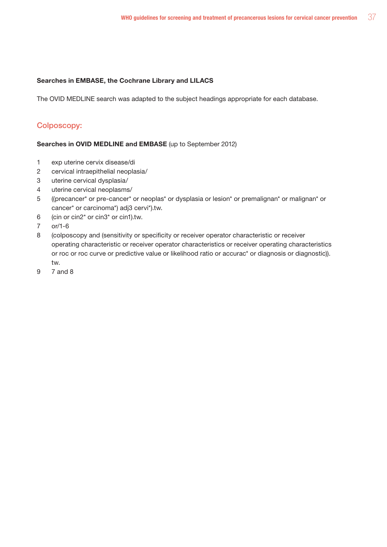#### Searches in EMBASE, the Cochrane Library and LILACS

The OVID MEDLINE search was adapted to the subject headings appropriate for each database.

### Colposcopy:

### Searches in OVID MEDLINE and EMBASE (up to September 2012)

- 1 exp uterine cervix disease/di
- 2 cervical intraepithelial neoplasia/
- 3 uterine cervical dysplasia/
- 4 uterine cervical neoplasms/
- 5 ((precancer\* or pre-cancer\* or neoplas\* or dysplasia or lesion\* or premalignan\* or malignan\* or cancer\* or carcinoma\*) adj3 cervi\*).tw.
- 6 (cin or cin2\* or cin3\* or cin1).tw.
- 7 or/1-6
- 8 (colposcopy and (sensitivity or specificity or receiver operator characteristic or receiver operating characteristic or receiver operator characteristics or receiver operating characteristics or roc or roc curve or predictive value or likelihood ratio or accurac\* or diagnosis or diagnostic)). tw.
- 9 7 and 8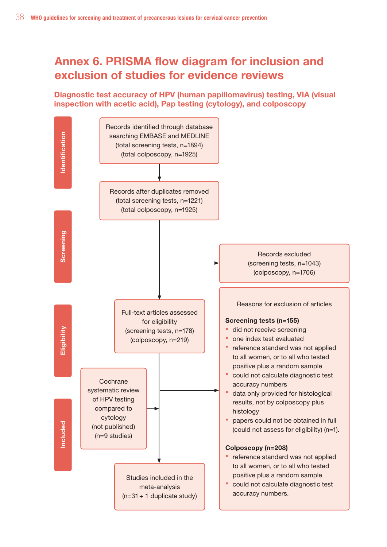## Annex 6. PRISMA flow diagram for inclusion and exclusion of studies for evidence reviews

## Diagnostic test accuracy of HPV (human papillomavirus) testing, VIA (visual inspection with acetic acid), Pap testing (cytology), and colposcopy

![](_page_55_Figure_3.jpeg)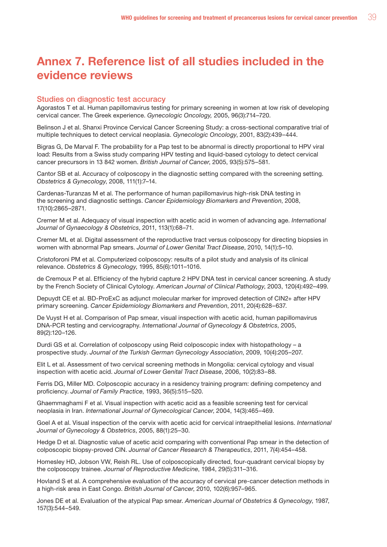## Annex 7. Reference list of all studies included in the evidence reviews

#### Studies on diagnostic test accuracy

Agorastos T et al. Human papillomavirus testing for primary screening in women at low risk of developing cervical cancer. The Greek experience. *Gynecologic Oncology,* 2005, 96(3):714–720.

Belinson J et al. Shanxi Province Cervical Cancer Screening Study: a cross-sectional comparative trial of multiple techniques to detect cervical neoplasia. *Gynecologic Oncology*, 2001, 83(2):439–444.

Bigras G, De Marval F. The probability for a Pap test to be abnormal is directly proportional to HPV viral load: Results from a Swiss study comparing HPV testing and liquid-based cytology to detect cervical cancer precursors in 13 842 women. *British Journal of Cancer*, 2005, 93(5):575–581.

Cantor SB et al. Accuracy of colposcopy in the diagnostic setting compared with the screening setting. *Obstetrics & Gynecology*, 2008, 111(1):7–14.

Cardenas-Turanzas M et al. The performance of human papillomavirus high-risk DNA testing in the screening and diagnostic settings. *Cancer Epidemiology Biomarkers and Prevention*, 2008, 17(10):2865–2871.

Cremer M et al. Adequacy of visual inspection with acetic acid in women of advancing age. *International Journal of Gynaecology & Obstetrics*, 2011, 113(1):68–71.

Cremer ML et al. Digital assessment of the reproductive tract versus colposcopy for directing biopsies in women with abnormal Pap smears. *Journal of Lower Genital Tract Disease*, 2010, 14(1):5–10.

Cristoforoni PM et al. Computerized colposcopy: results of a pilot study and analysis of its clinical relevance. *Obstetrics & Gynecology*, 1995, 85(6):1011–1016.

de Cremoux P et al. Efficiency of the hybrid capture 2 HPV DNA test in cervical cancer screening. A study by the French Society of Clinical Cytology. *American Journal of Clinical Pathology*, 2003, 120(4):492–499.

Depuydt CE et al. BD-ProExC as adjunct molecular marker for improved detection of CIN2+ after HPV primary screening. *Cancer Epidemiology Biomarkers and Prevention*, 2011, 20(4):628–637.

De Vuyst H et al. Comparison of Pap smear, visual inspection with acetic acid, human papillomavirus DNA-PCR testing and cervicography. *International Journal of Gynecology & Obstetrics*, 2005, 89(2):120–126.

Durdi GS et al. Correlation of colposcopy using Reid colposcopic index with histopathology – a prospective study. *Journal of the Turkish German Gynecology Association*, 2009, 10(4):205–207.

Elit L et al. Assessment of two cervical screening methods in Mongolia: cervical cytology and visual inspection with acetic acid. *Journal of Lower Genital Tract Disease*, 2006, 10(2):83–88.

Ferris DG, Miller MD. Colposcopic accuracy in a residency training program: defining competency and proficiency. *Journal of Family Practice*, 1993, 36(5):515–520.

Ghaemmaghami F et al. Visual inspection with acetic acid as a feasible screening test for cervical neoplasia in Iran. *International Journal of Gynecological Cancer*, 2004, 14(3):465–469.

Goel A et al. Visual inspection of the cervix with acetic acid for cervical intraepithelial lesions. *International Journal of Gynecology & Obstetrics*, 2005, 88(1):25–30.

Hedge D et al. Diagnostic value of acetic acid comparing with conventional Pap smear in the detection of colposcopic biopsy-proved CIN. *Journal of Cancer Research & Therapeutics*, 2011, 7(4):454–458.

Homesley HD, Jobson VW, Reish RL. Use of colposcopically directed, four-quadrant cervical biopsy by the colposcopy trainee. *Journal of Reproductive Medicine*, 1984, 29(5):311–316.

Hovland S et al. A comprehensive evaluation of the accuracy of cervical pre-cancer detection methods in a high-risk area in East Congo. *British Journal of Cancer*, 2010, 102(6):957–965.

Jones DE et al. Evaluation of the atypical Pap smear. *American Journal of Obstetrics & Gynecology*, 1987, 157(3):544–549.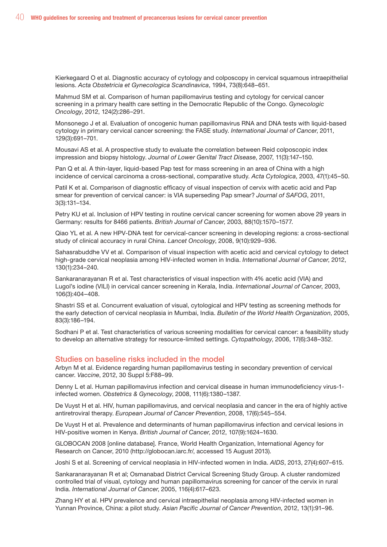Kierkegaard O et al. Diagnostic accuracy of cytology and colposcopy in cervical squamous intraepithelial lesions. *Acta Obstetricia et Gynecologica Scandinavica*, 1994, 73(8):648–651.

Mahmud SM et al. Comparison of human papillomavirus testing and cytology for cervical cancer screening in a primary health care setting in the Democratic Republic of the Congo. *Gynecologic Oncology*, 2012, 124(2):286–291.

Monsonego J et al. Evaluation of oncogenic human papillomavirus RNA and DNA tests with liquid-based cytology in primary cervical cancer screening: the FASE study. *International Journal of Cancer*, 2011, 129(3):691–701.

Mousavi AS et al. A prospective study to evaluate the correlation between Reid colposcopic index impression and biopsy histology. *Journal of Lower Genital Tract Disease*, 2007, 11(3):147–150.

Pan Q et al. A thin-layer, liquid-based Pap test for mass screening in an area of China with a high incidence of cervical carcinoma a cross-sectional, comparative study. *Acta Cytologica*, 2003, 47(1):45–50.

Patil K et al. Comparison of diagnostic efficacy of visual inspection of cervix with acetic acid and Pap smear for prevention of cervical cancer: is VIA superseding Pap smear? *Journal of SAFOG*, 2011, 3(3):131–134.

Petry KU et al. Inclusion of HPV testing in routine cervical cancer screening for women above 29 years in Germany: results for 8466 patients. *British Journal of Cancer*, 2003, 88(10):1570–1577.

Qiao YL et al. A new HPV-DNA test for cervical-cancer screening in developing regions: a cross-sectional study of clinical accuracy in rural China. *Lancet Oncology*, 2008, 9(10):929–936.

Sahasrabuddhe VV et al. Comparison of visual inspection with acetic acid and cervical cytology to detect high-grade cervical neoplasia among HIV-infected women in India. *International Journal of Cancer*, 2012, 130(1):234–240.

Sankaranarayanan R et al. Test characteristics of visual inspection with 4% acetic acid (VIA) and Lugol's iodine (VILI) in cervical cancer screening in Kerala, India. *International Journal of Cancer*, 2003, 106(3):404–408.

Shastri SS et al. Concurrent evaluation of visual, cytological and HPV testing as screening methods for the early detection of cervical neoplasia in Mumbai, India. *Bulletin of the World Health Organization*, 2005, 83(3):186–194.

Sodhani P et al. Test characteristics of various screening modalities for cervical cancer: a feasibility study to develop an alternative strategy for resource-limited settings. *Cytopathology*, 2006, 17(6):348–352.

#### Studies on baseline risks included in the model

Arbyn M et al. Evidence regarding human papillomavirus testing in secondary prevention of cervical cancer. *Vaccine*, 2012, 30 Suppl 5:F88–99.

Denny L et al. Human papillomavirus infection and cervical disease in human immunodeficiency virus-1 infected women. *Obstetrics & Gynecology*, 2008, 111(6):1380–1387.

De Vuyst H et al. HIV, human papillomavirus, and cervical neoplasia and cancer in the era of highly active antiretroviral therapy. *European Journal of Cancer Prevention*, 2008, 17(6):545–554.

De Vuyst H et al. Prevalence and determinants of human papillomavirus infection and cervical lesions in HIV-positive women in Kenya. *British Journal of Cancer*, 2012, 107(9):1624–1630.

GLOBOCAN 2008 [online database]. France, World Health Organization, International Agency for Research on Cancer, 2010 (http://globocan.iarc.fr/, accessed 15 August 2013).

Joshi S et al. Screening of cervical neoplasia in HIV-infected women in India. *AIDS*, 2013, 27(4):607–615.

Sankaranarayanan R et al; Osmanabad District Cervical Screening Study Group. A cluster randomized controlled trial of visual, cytology and human papillomavirus screening for cancer of the cervix in rural India. *International Journal of Cancer*, 2005, 116(4):617–623.

Zhang HY et al. HPV prevalence and cervical intraepithelial neoplasia among HIV-infected women in Yunnan Province, China: a pilot study. *Asian Pacific Journal of Cancer Prevention*, 2012, 13(1):91–96.